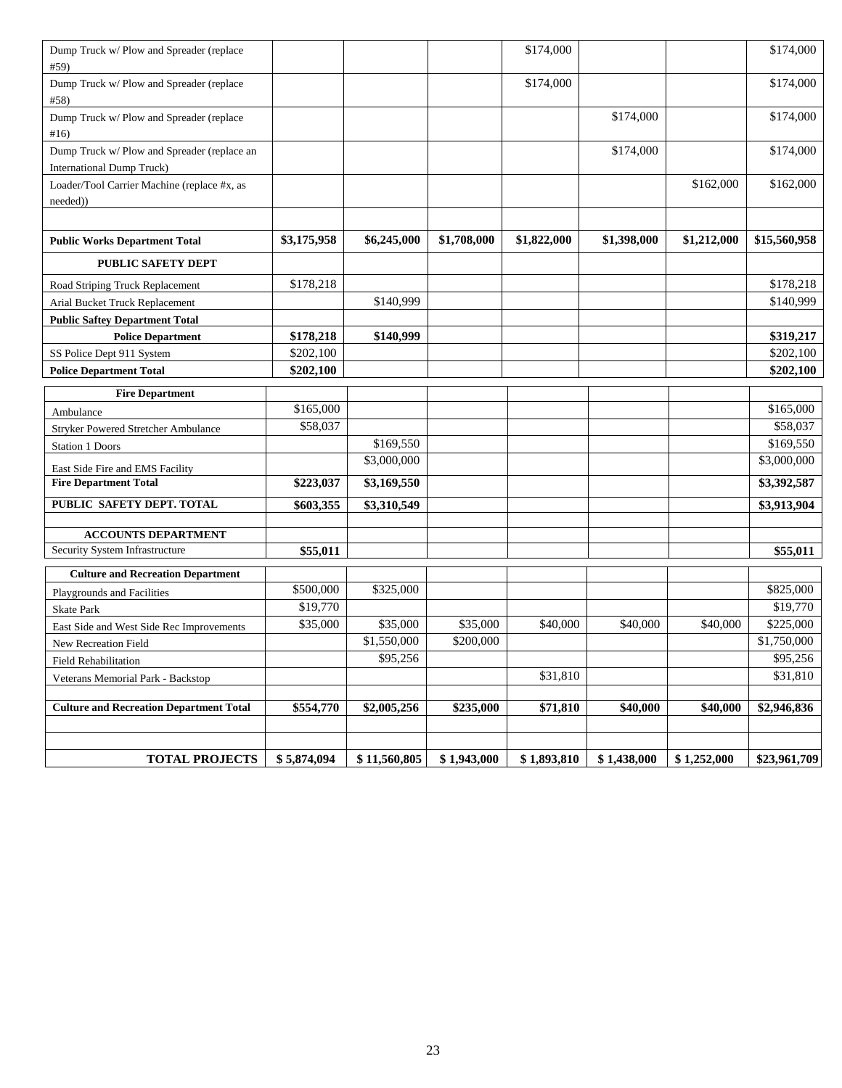#### **OFFICIAL STATEMENT**

#### **NEW ISSUE SERIAL BONDS STANDARD & POOR'S: "AA+" STABLE OUTLOOK See "BOND RATING"** herein

In the opinion of Bond Counsel, under existing law, interest on the Bonds is excluded from gross income for federal income tax purposes and is not an item of *tax preference for purposes of the federal alternative minimum tax imposed on individuals and corporations, nor is such interest included in adjusted current earnings of certain corporations for purposes of the federal alternative minimum tax imposed on corporations; and subject to the condition that the City comply with all requirements of the Internal Revenue Code of 1986, as amended (the "Code") that must be satisfied subsequent to the issuance of the Bonds in order that interest thereon be, or continue to be, excluded from gross income for federal income tax purposes. In the opinion of Bond Counsel, under existing law, interest on the Bonds is exempt from personal income taxes of New York State and its political subdivisions, including The City of New York. No opinion is expressed regarding other tax consequences arising with respect to the Bonds.*

*The City will designate the Bonds as "qualified tax-exempt obligations" pursuant to Section 265(b)(3) of the Code.*

## **\$3,029,324 CITY of SARATOGA SPRINGS SARATOGA COUNTY, NEW YORK GENERAL OBLIGATIONS**

## **\$3,029,324 Public Improvement (Serial) Bonds, 2016**

**CUSIP BASE: 803531**

**Dated: June 22, 2016 Due: June 15, 2017-2033**

|      | <b>MATURITIES</b> |         |        |     |      |  |                 |        |        |            |         |            |         |       |                 |
|------|-------------------|---------|--------|-----|------|--|-----------------|--------|--------|------------|---------|------------|---------|-------|-----------------|
| Year | Amount            | Rate    | Yield  | CSP | Year |  | Amount          | Rate   | Yield  | <b>CSP</b> | Year    | Amount     | Rate    | Yield | <b>CSP</b>      |
| 2017 | \$149.324         | 2.000\% | 0.650% | VF6 |      |  | 2023 \$ 165,000 | 2.000% | 1.350% | VM1        | 2029 \$ | 195,000*   | 2.000\% | 2.00% | VT <sub>6</sub> |
| 2018 | 150,000           | 2.000   | 0.800  | VG4 | 2024 |  | 170,000         | 2.000  | 1.460  | VN9        | 2030    | 200,000*   | 2.000   | 2.150 | VU3             |
| 2019 | 155,000           | 2.000   | 0.860  | VH2 | 2025 |  | 175,000*        | 2.000  | 1.580  | VP4        | 2031    | 205,000*   | 2.500   | 2.150 | VV1             |
| 2020 | 160,000           | 2.000   | 1.000  | VJ8 | 2026 |  | 180,000*        | 2.000  | 1.750  | VO2        | 2032    | $210,000*$ | 2.500   | 2.200 | VW9             |
| 2021 | 160,000           | 2.000   | 1.100  | VK5 | 2027 |  | 185,000*        | 2.000  | .900   | VR0        | 2033    | 215,000*   | 3.000   | 2.350 | VX7             |
| 2022 | 165,000           | 2.000   | 1.240  | VL3 | 2028 |  | 190,000*        | 2.000  | .980   | VS8        |         |            |         |       |                 |

\* The Bonds maturing in the years 2025-2033 are subject to redemption prior to maturity. See "DESCRIPTION OF THE BONDS - Optional Redemption" herein.

The Bonds are general obligations of the City of Saratoga Springs, Saratoga County, New York, all the taxable real property within which is subject to the levy of ad valorem taxes to pay the Bonds and interest thereon, without limitation as to rate or amount, subject to statutory limitations which may be imposed by Chapter 97 of the 2011 Laws of New York. See "Tax Levy Limitation Law" herein.

The Bonds will be issued as registered bonds and, when issued, will be registered in the name of Cede & Co., as nominee of The Depository Trust Company ("DTC"), New York, New York, which will act as securities depository for the Bonds. Individual purchases will be made in book-entry form only, in the principal amount of \$5,000 or integral multiples thereof, except for one necessary odd denomination maturing June 15, 2017. Purchasers will not receive certificates representing their ownership interest in the Bonds. Interest on the Bonds will be payable December 15, 2016 and semi-annually thereafter on June 15 and December 15 in each year until maturity. Principal and interest will be paid by the City to DTC, which will in turn remit such principal and interest to its Participants, for subsequent distribution to the Beneficial Owners of the Bonds, as described herein. See "Book-Entry-Only System" herein.

The Bonds are offered when, as and if issued and received by the purchaser and subject to the receipt of the unqualified legal opinion as to the validity of the Bonds of Walsh & Walsh, LLP, Bond Counsel, of Saratoga Springs, New York. It is anticipated that the Bonds will be available for delivery in Jersey City, New Jersey on or about June 22, 2016.

June 8, 2016

THIS REVISED COVER SUPPLEMENTS THE OFFICIAL STATEMENT OF THE CITY DATED MAY 25, 2016 RELATING TO THE OBLIGATIONS THEREOF DESCRIBED THEREIN AND HEREIN BY INCLUDING CERTAIN INFORMATION OMITTED FROM SUCH OFFICIAL STATEMENT IN ACCORDANCE WITH SECURITIES AND EXCHANGE COMMISSION RULE 15C2-12. OTHER THAN AS SET FORTH ON THE REVISED COVER, THE REVISION OF THE DATED DATE ON PAGE 29 AND REVISED APPENDIX-B THERE HAVE BEEN NO REVISIONS TO SAID OFFICIAL STATEMENT

## **RAYMOND, JAMES®**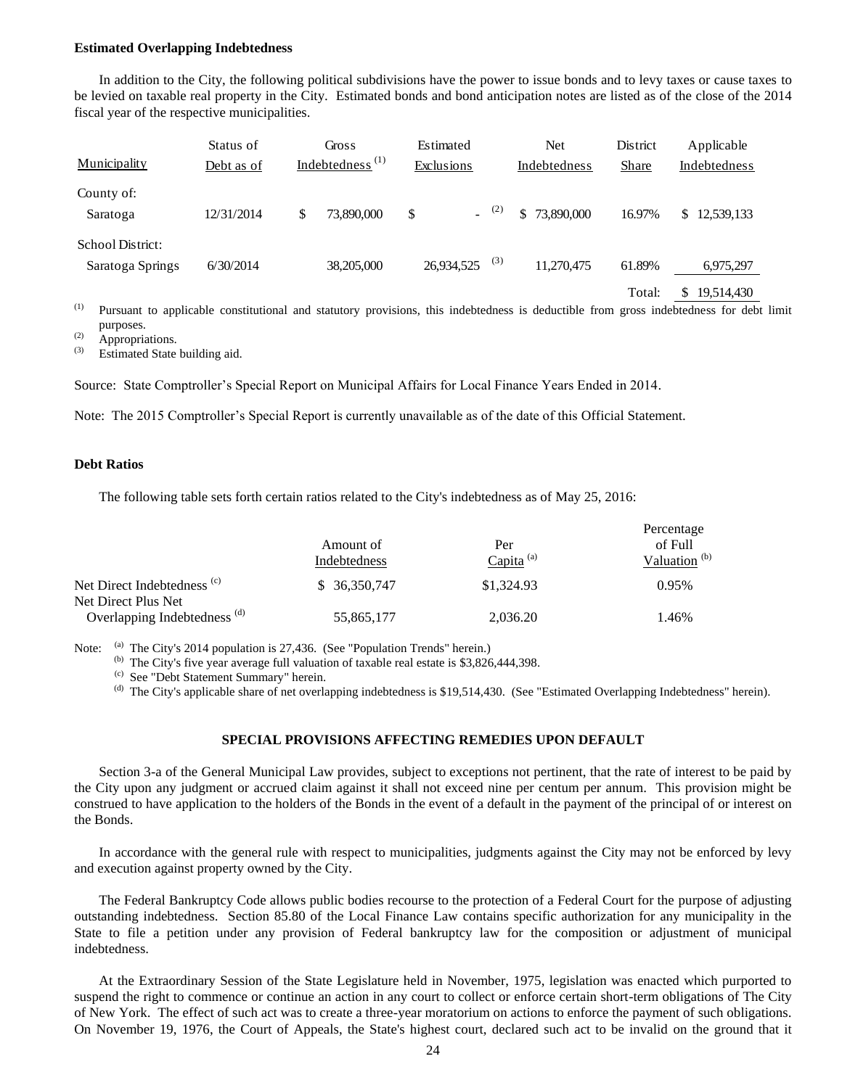# **CITY OF SARATOGA SPRINGS SARATOGA COUNTY, NEW YORK**



## **CITY OFFICIALS**

JOANNE D. YEPSEN Mayor

MICHELE D. CLARK- MADIGAN Commissioner of Finance

M. LYNN BACHNER Deputy Commissioner of Finance

CHRISTINE GILLMETT-BROWN Director of Finance

> JOHN P. FRANCK Commissioner of Accounts City Clerk

CHRISTIAN E. MATHIESEN Commissioner of Public Safety

ANTHONY J. SCIROCCO Commissioner of Public Works

VINCENT J. DELEONARDIS, ESQ. City Attorney



FISCAL ADVISORS & MARKETING, INC. City Municipal Advisor

> WALSH & WALSH, LLP Bond Counsel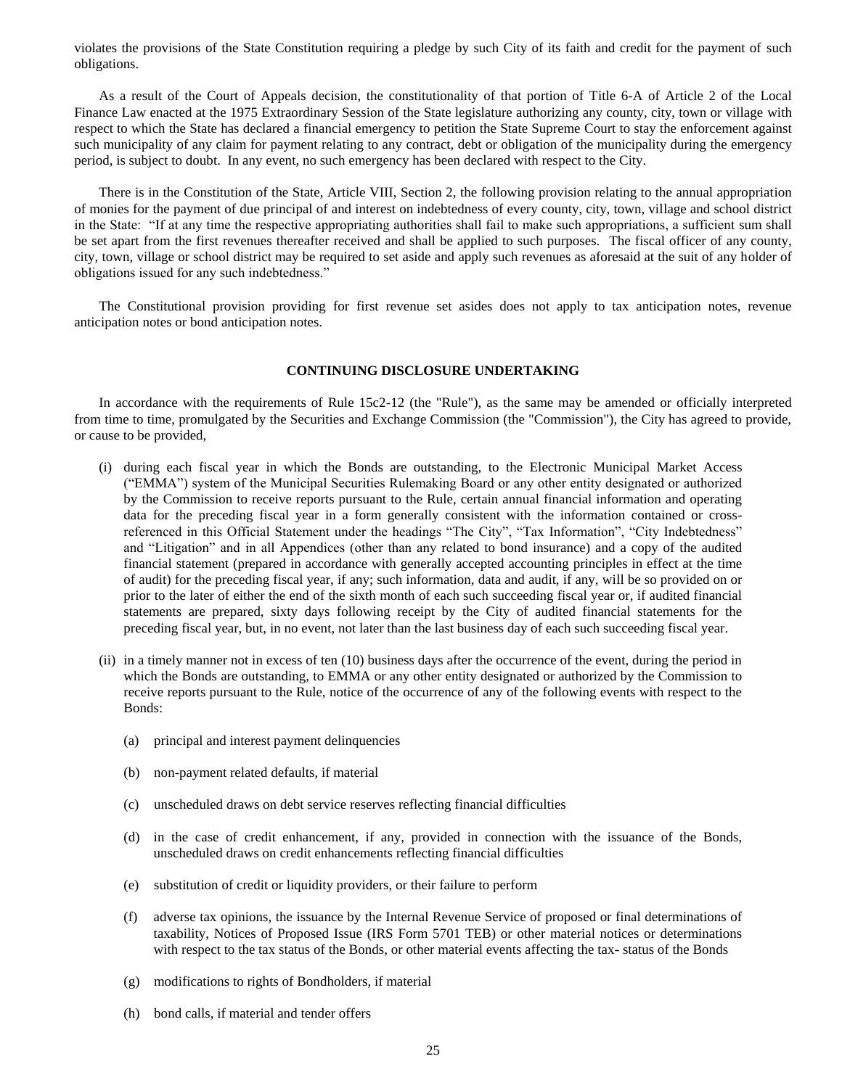No person has been authorized by City of Saratoga Springs to give any information or to make any representations not contained in this Official Statement, and, if given or made, such information or representations must not be relied upon as having been authorized. This Official Statement does not constitute an offer to sell or solicitation of an offer to buy any of the Bonds in any jurisdiction to any person to whom it is unlawful to make such offer or solicitation in such jurisdiction. The information, estimates and expressions of opinion herein are subject to change without notice, and neither the delivery of this Official Statement nor any sale made hereunder shall, under any circumstances, create any implication that there has been no change in the affairs of City of Saratoga Springs.

#### **TABLE OF CONTENTS**

| Page                                                    |  |
|---------------------------------------------------------|--|
|                                                         |  |
|                                                         |  |
|                                                         |  |
|                                                         |  |
|                                                         |  |
|                                                         |  |
|                                                         |  |
|                                                         |  |
|                                                         |  |
|                                                         |  |
|                                                         |  |
|                                                         |  |
|                                                         |  |
|                                                         |  |
|                                                         |  |
|                                                         |  |
|                                                         |  |
|                                                         |  |
|                                                         |  |
| Status and Financing of Employee Pension Benefits  11   |  |
|                                                         |  |
|                                                         |  |
|                                                         |  |
| New York State Comptroller Fiscal                       |  |
|                                                         |  |
| New York State Comptroller Report of Examination  16    |  |
|                                                         |  |
|                                                         |  |
|                                                         |  |
|                                                         |  |
|                                                         |  |
| Largest Taxpayers - 2015-16 Assessment Roll for 2016 17 |  |
|                                                         |  |
|                                                         |  |
|                                                         |  |
|                                                         |  |
|                                                         |  |
|                                                         |  |
|                                                         |  |
|                                                         |  |
|                                                         |  |
|                                                         |  |
|                                                         |  |
| Capital Improvement Program Summary 22                  |  |
|                                                         |  |
|                                                         |  |

| Page<br><b>SPECIAL PROVISIONS AFFECTING</b>                                                                                    |
|--------------------------------------------------------------------------------------------------------------------------------|
|                                                                                                                                |
| <b>CONTINUING DISCLOSURE UNDERTAKING25</b>                                                                                     |
|                                                                                                                                |
|                                                                                                                                |
|                                                                                                                                |
|                                                                                                                                |
|                                                                                                                                |
|                                                                                                                                |
| <b>APPENDIX - A</b><br><b>GENERAL FUND - Balance Sheets</b>                                                                    |
| <b>APPENDIX - A1</b><br><b>GENERAL FUND – Revenues, Expenditures and</b><br><b>Changes in Fund Balance</b>                     |
| <b>APPENDIX - A2</b><br><b>GENERAL FUND - Revenues, Expenditures and</b><br><b>Changes in Fund Balance - Budget and Actual</b> |
| $APPENDIX - A3$<br><b>CHANGES IN FUND EQUITY</b>                                                                               |
| <b>APPENDIX - B</b><br><b>BONDED DEBT SERVICE</b>                                                                              |
| <b>APPENDIX - C</b><br><b>AUDITED FINANCIAL REPORT-</b><br><b>DECEMBER 31, 2014</b>                                            |
|                                                                                                                                |

*PREPARED WITH THE ASSISTANCE OF FA FISCAL ADVISORS & MARKETING, INC. CORPORATE HEADQUARTERS 120 Walton Street • Suite 600 Syracuse NY 13202* **Ph • 315.752.0051 • Fax • 315.752.0057** *Internet • http://www.fiscaladvisors.com*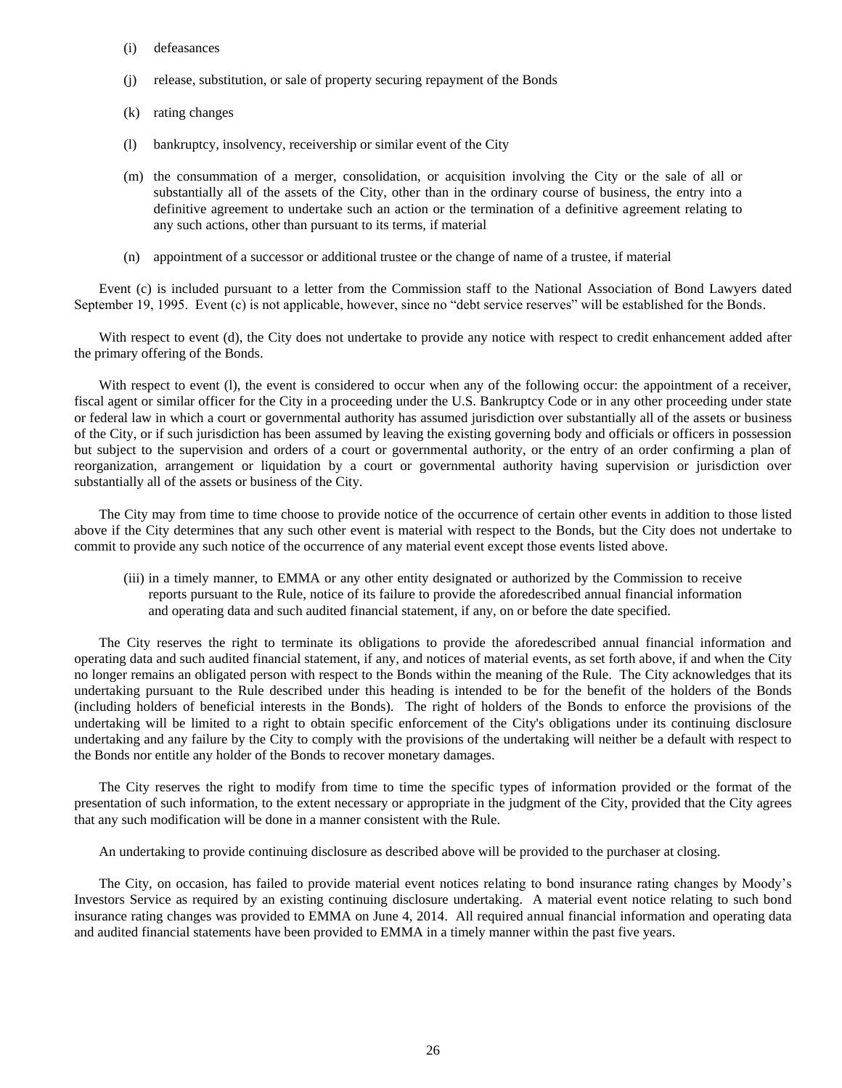#### **OFFICIAL STATEMENT**

## **of the CITY of SARATOGA SPRINGS**

## **SARATOGA COUNTY, NEW YORK**

#### **Relating To**

#### **\$3,029,324 Public Improvement (Serial) Bonds, 2016**

This Official Statement, which includes the cover page, has been prepared by the City of Saratoga Springs, Saratoga County, New York (the "City," "County," and "State," respectively), in connection with the sale by the City of \$3,029,324 principal amount of Public Improvement (Serial) Bonds, 2016 (herein, the "Bonds").

The factors affecting the City's financial condition and the Bonds are described throughout this Official Statement. Inasmuch as many of these factors, including economic and demographic factors, are complex and may influence the City tax base, revenues, and expenditures, this Official Statement should be read in its entirety, and no one factor should be considered more or less important than any other by reason of its relative position in this Official Statement.

All quotations from and summaries and explanations of provisions of the Constitution and laws of the State and acts and proceedings of the City contained herein do not purport to be complete and are qualified in their entirety by reference to the official compilations thereof, and all references to the Bonds and the proceedings of the City relating thereto are qualified in their entirety by reference to the definitive forms of the Bonds and such proceedings.

#### **DESCRIPTION OF THE BONDS**

The Bonds will be dated June 22, 2016 and will mature in the principal amounts and on the dates as set forth on the cover page. The Bonds are subject to redemption prior to maturity as described herein under the heading "Optional Redemption." The "Record Date" of the Bonds will be the last business day of the calendar month preceding each such interest payment date.

The Bonds will be issued as registered bonds and, when issued, will be registered in the name of Cede  $\&$  Co., as nominee of DTC, which will act as securities depository for the Bonds. Individual purchases will be made in book-entry form only, in the principal amount of \$5,000 or integral multiples thereof, except for a necessary odd denomination maturing on June 15, 2017. Purchasers will not receive certificates representing their ownership interest in the Bonds. Interest on the Bonds will be payable December 15, 2016 and semi-annually thereafter on June 15 and December 15 in each year until maturity. Principal and interest will be paid by the City to DTC, which will in turn remit such principal and interest to its Participants, for subsequent distribution to the Beneficial Owners of the Bonds, as described herein.

#### **Optional Redemption**

The Bonds maturing on or before June 15, 2024 shall not be subject to redemption prior to maturity. The Bonds maturing on or after June 15, 2025 shall be subject to redemption prior to maturity as a whole or in part (and by lot if less than all of a maturity is to be redeemed), at the option of the City on June 15, 2024 or on any date thereafter at par (100%), plus accrued interest to the date of redemption.

If less than all of the bonds of any maturity are to be redeemed, the particular bonds of such maturity to be redeemed shall be selected by the City by lot in any customary manner of selection as determined by the Commissioner of Finance. Notice of such call for redemption shall be given by mailing such notice to the registered holder not more than sixty (60) days nor less than thirty (30) days prior to such date. Notice of redemption having been given as aforesaid, the bonds so called for redemption shall, on the date for redemption set forth in such call for redemption, become due and payable, together with interest to such redemption date, and interest shall cease to be paid thereon after such redemption date.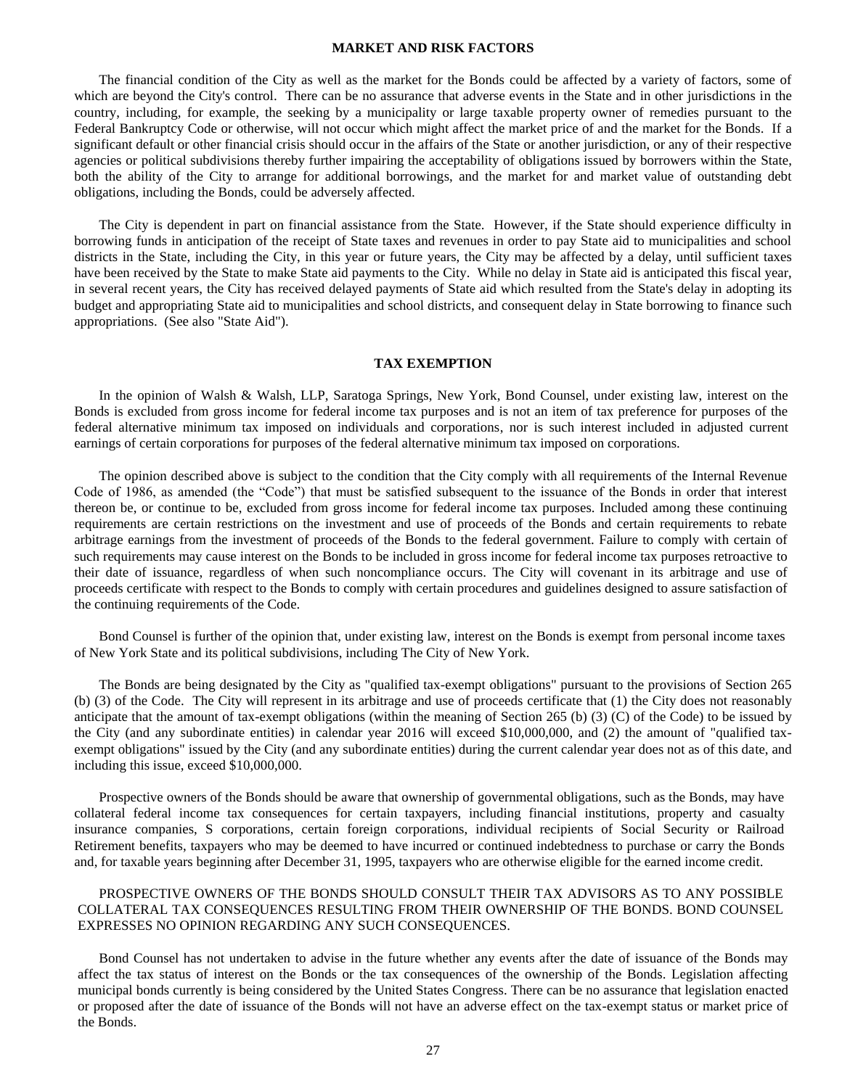#### **Book-Entry-Only System**

The Depository Trust Company ("DTC"), New York, New York, will act as securities depository for the Bonds. The Bonds will be issued as fully-registered securities registered in the name of Cede & Co. (DTC's partnership nominee) or such other name as may be requested by an authorized representative of DTC. One fully-registered Bond certificate will be issued for each maturity of the Bonds in the aggregate principal amount of such issue, and will be deposited with DTC.

DTC, the world's largest securities depository, is a limited-purpose trust company organized under the New York Banking Law, a "banking organization" within the meaning of the New York Banking Law, a member of the Federal Reserve System, a "clearing corporation" within the meaning of the New York Uniform Commercial Code, and a "clearing agency" registered pursuant to the provisions of Section 17A of the Securities Exchange Act of 1934. DTC holds and provides asset servicing for over 3.5 million issues of U.S. and non-U.S. equity issues, corporate and municipal debt issues, and money market instruments (from over 100 countries) that DTC's participants ("Direct Participants") deposit with DTC. DTC also facilitates the post-trade settlement among Direct Participants of sales and other securities transactions in deposited securities, through electronic computerized book-entry transfers and pledges between Direct Participants' accounts. This eliminates the need for physical movement of securities certificates. Direct Participants include both U.S. and non-U.S. securities brokers and dealers, banks, trust companies, clearing corporations, and certain other organizations. DTC is a wholly-owned subsidiary of The Depository Trust & Clearing Corporation ("DTCC"). DTCC is the holding company for DTC, National Securities Clearing Corporation and Fixed Income Clearing Corporation, all of which are registered clearing agencies. Access to the DTC system is also available to others such as both U.S. and non-U.S. securities brokers and dealers, banks, trust companies, and clearing corporations that clear through or maintain a custodial relationship with a Direct Participant, either directly or indirectly ("Indirect Participants"). The DTC Rules applicable to its Participants are on file with the Securities and Exchange Commission. More information about DTC can be found at **www.dtcc.com**.

Purchases of Bonds under the DTC system must be made by or through Direct Participants, which will receive a credit for the Bonds on DTC's records. The ownership interest of each actual purchaser of each Bond ("Beneficial Owner") is in turn to be recorded on the Direct and Indirect Participants' records. Beneficial Owners will not receive written confirmation from DTC of their purchase. Beneficial Owners are, however, expected to receive written confirmations providing details of the transaction, as well as periodic statements of their holdings, from the Direct or Indirect Participant through which the Beneficial Owner entered into the transaction. Transfers of ownership interests in the Bonds are to be accomplished by entries made on the books of Direct and Indirect Participants acting on behalf of Beneficial Owners. Beneficial Owners will not receive certificates representing their ownership interests in Bonds, except in the event that use of the book-entry system for the Bonds is discontinued.

To facilitate subsequent transfers, all Bonds deposited by Direct Participants with DTC are registered in the name of DTC's partnership nominee, Cede & Co., or such other name as may be requested by an authorized representative of DTC. The deposit of Bonds with DTC and their registration in the name of Cede & Co. or such other DTC nominee do not effect any change in beneficial ownership. DTC has no knowledge of the actual Beneficial Owners of the Bonds; DTC's records reflect only the identity of the Direct Participants to whose accounts such Bonds are credited, which may or may not be the Beneficial Owners. The Direct and Indirect Participants will remain responsible for keeping account of their holdings on behalf of their customers.

Conveyance of notices and other communications by DTC to Direct Participants, by Direct Participants to Indirect Participants, and by Direct Participants and Indirect Participants to Beneficial Owners will be governed by arrangements among them, subject to any statutory or regulatory requirements as may be in effect from time to time. Beneficial Owners of Bonds may wish to take certain steps to augment the transmission to them of notices of significant events with respect to the Bonds, such as redemptions, tenders, defaults, and proposed amendments to the Bond documents. For example, Beneficial Owners of Bonds may wish to ascertain that the nominee holding the Bonds for their benefit has agreed to obtain and transmit notices to Beneficial Owners. In the alternative, Beneficial Owners may wish to provide their names and addresses to the registrar and request that copies of notices be provided directly to them.

Redemption notices shall be sent to DTC. If less than all of the Bonds within an issue are being redeemed, DTC's practice is to determine by lot the amount of the interest of each Direct Participant in such issue to be redeemed.

Principal and interest payments on the Bonds will be made to Cede & Co., or such other nominee as may be requested by an authorized representative of DTC. DTC's practice is to credit Direct Participants' accounts upon DTC's receipt of funds and corresponding detail information from the City, on payable date in accordance with their respective holdings shown on DTC's records. Payments by Participants to Beneficial Owners will be governed by standing instructions and customary practices, as is the case with securities held for the accounts of customers in bearer form or registered in "street name," and will be the responsibility of such Participant and not of DTC or the City, subject to any statutory or regulatory requirements as may be in effect from time to time. Payment of principal and interest payments to Cede & Co. (or such other nominee as may be requested by an authorized representative of DTC) is the responsibility of the City, disbursement of such payments to Direct Participants will be the responsibility of DTC, and disbursement of such payments to the Beneficial Owners will be the responsibility of Direct and Indirect Participants.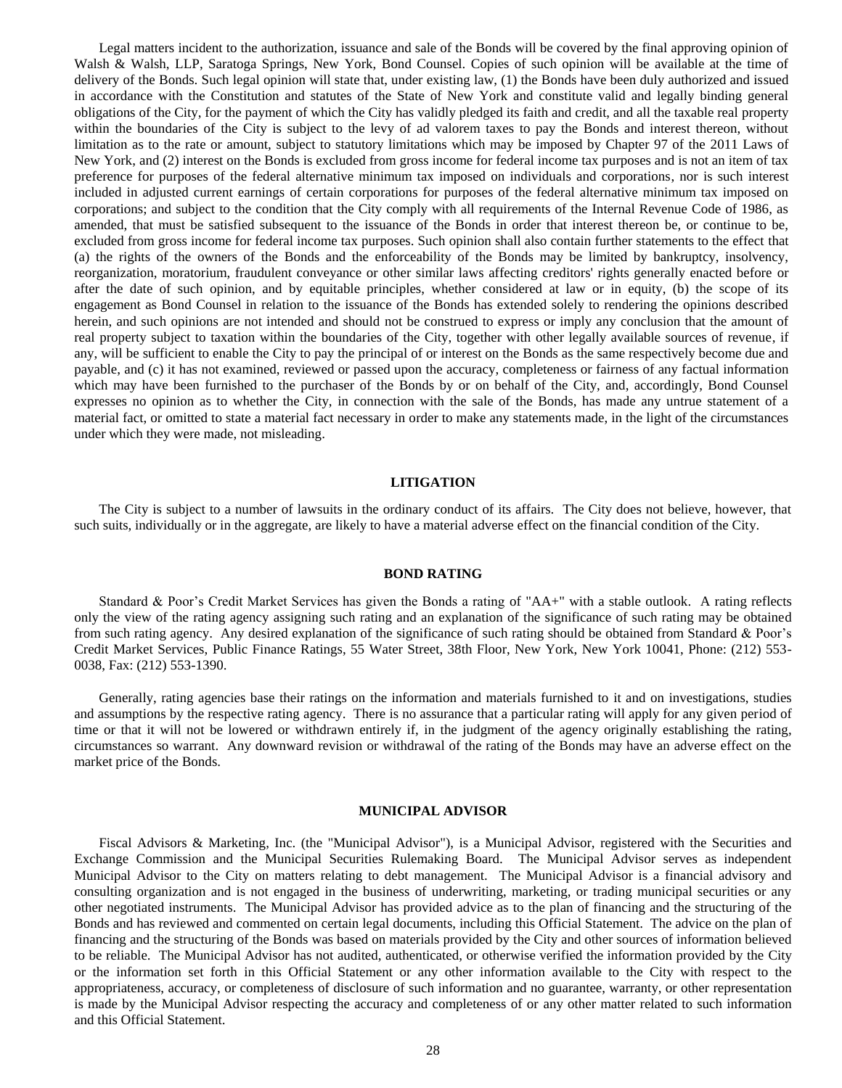DTC may discontinue providing its services as depository with respect to the Bonds at any time by giving reasonable notice to the City. Under such circumstances, in the event that a successor depository is not obtained, bond certificates are required to be printed and delivered.

The City may decide to discontinue use of the system of book-entry-only transfers through DTC (or a successor securities depository). In that event, bond certificates will be printed and delivered, as applicable.

The information in this section concerning DTC and DTC's book-entry system has been obtained from sources that the City believes to be reliable, but the City takes no responsibility for the accuracy thereof.

THE CITY CANNOT AND DOES NOT GIVE ANY ASSURANCES THAT DTC, DIRECT PARTICIPANTS OR INDIRECT PARTICIPANTS OF DTC WILL DISTRIBUTE TO THE BENEFICIAL OWNERS OF THE BONDS (1) PAYMENTS OF PRINCIPAL OF OR INTEREST ON THE BONDS; (2) CONFIRMATIONS OF THEIR OWNERSHIP INTERESTS IN THE BONDS; OR (3) OTHER NOTICES SENT TO DTC OR CEDE & CO., ITS PARTNERSHIP NOMINEE, AS THE REGISTERED OWNER OF THE BONDS, OR THAT THEY WILL DO SO ON A TIMELY BASIS, OR THAT DTC, DIRECT PARTICIPANTS OR INDIRECT PARTICIPANTS WILL SERVE AND ACT IN THE MANNER DESCRIBED IN THIS OFFICIAL STATEMENT.

THE CITY WILL NOT HAVE ANY RESPONSIBILITY OR OBLIGATIONS TO DTC, THE DIRECT PARTICIPANTS, THE INDIRECT PARTICIPANTS OF DTC OR THE BENEFICIAL OWNERS WITH RESPECT TO (1) THE ACCURACY OF ANY RECORDS MAINTAINED BY DTC OR ANY DIRECT PARTICIPANTS OR INDIRECT PARTICIPANTS OF DTC; (2) THE PAYMENT BY DTC OR ANY DIRECT PARTICIPANTS OR INDIRECT PARTICIPANTS OF DTC OF ANY AMOUNT DUE TO ANY BENEFICIAL OWNER IN RESPECT OF THE PRINCIPAL AMOUNT OF OR INTEREST OR REDEMPTION PREMIUM ON THE BONDS; (3) THE DELIVERY BY DTC OR ANY DIRECT PARTICIPANTS OR INDIRECT PARTICIPANTS OF DTC OF ANY NOTICE TO ANY BENEFICIAL OWNER THAT IS REQUIRED OR PERMITTED TO BE GIVEN TO OWNERS; OR (4) ANY CONSENT GIVEN OR OTHER ACTION TAKEN BY DTC AS THE REGISTERED HOLDER OF THE BONDS.

THE INFORMATION CONTAINED HEREIN CONCERNING DTC AND ITS BOOK-ENTRY SYSTEM HAS BEEN OBTAINED FROM DTC AND THE CITY MAKES NO REPRESENTATION AS TO THE COMPLETENESS OR THE ACCURACY OF SUCH INFORMATION OR AS TO THE ABSENCE OF MATERIAL ADVERSE CHANGES IN SUCH INFORMATION SUBSEQUENT TO THE DATE HEREOF.

#### **Certificated Bonds**

DTC may discontinue providing its services with respect to the Bonds at any time by giving notice to the City and discharging its responsibilities with respect thereto under applicable law, or the City may terminate its participation in the system of book-entry-only transfers through DTC at any time. In the event that such book-entry-only system is discontinued, the following provisions will apply: the Bonds will be issued in fully registered form in denominations of \$5,000 or any integral multiple thereof, except for a necessary odd denomination maturing June 15, 2017. Principal of the Bonds when due will be payable upon presentation at the office of a bank or trust company located and authorized to do business in the State to be named as the fiscal agent by the City. Interest on the Bonds will be payable December 15, 2016 and semi-annually thereafter on June 15 and December 15 in each year until maturity. Such interest will be payable by check drawn on the fiscal agent and mailed to the registered owner on each interest payment date at the address as shown on the registration books of the fiscal agent as of the last business day of the calendar month preceding each such interest payment date. Bonds may be transferred or exchanged at no cost to the registered owner at any time prior to maturity at the office of the fiscal agent for Bonds of the same or any other authorized denomination or denominations in the same aggregate principal amount upon the terms set forth in the Certificate of Determination of the Commissioner of Finance authorizing the sale of the Bonds and fixing the details thereof and in accordance with the Local Finance Law. The fiscal agent shall not be obligated to make any such transfer or exchange of Bonds between the last business day of the calendar month preceding an interest payment date and such interest payment date.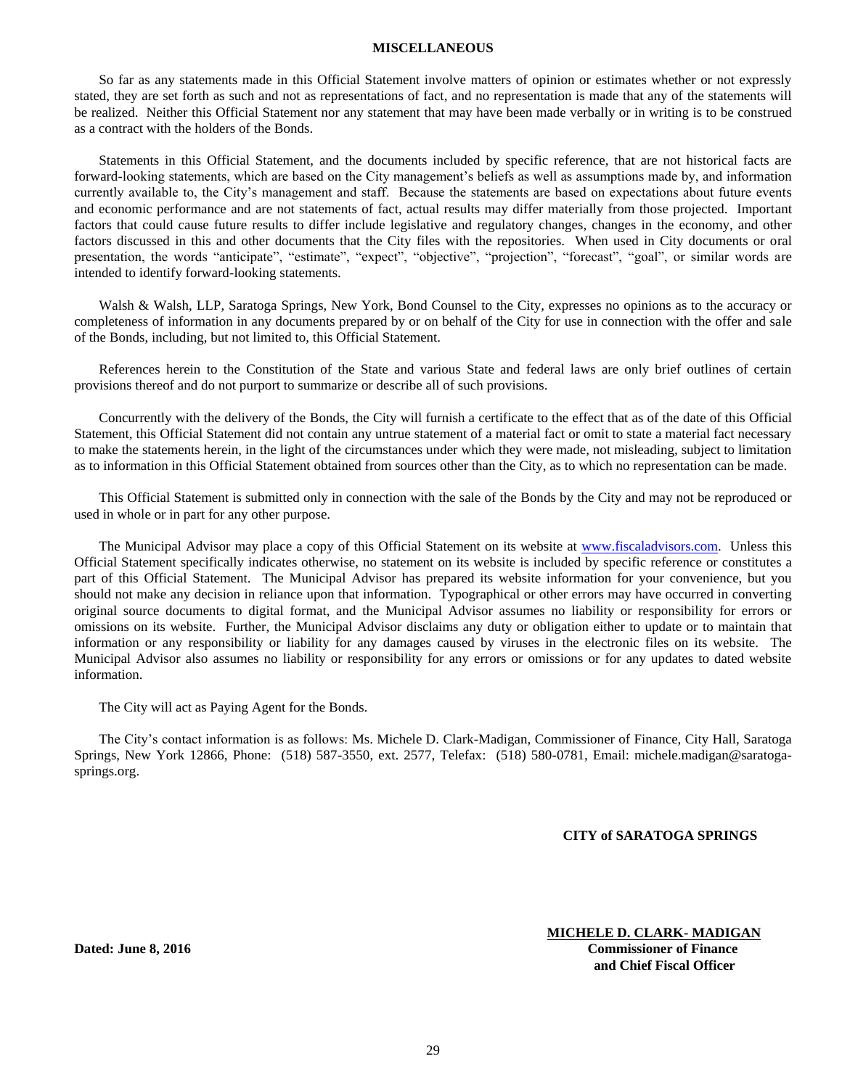#### **Purposes of Issue**

The Bonds are issued pursuant to the Constitution and Statutes of the State of New York, including among others, the General City Law and the Local Finance Law, the City Charter and bond resolutions duly adopted by the City Council for the following purposes:

| Purpose                                                      | Amount          |
|--------------------------------------------------------------|-----------------|
| Waterfront Park Redevelopment                                | \$<br>120,000   |
| City Way Finding Program                                     | 100,000         |
| Saratoga Arts Council Foundation Drainage and Entrance       | 327,000         |
| Sewer Jet Machine                                            | 252,000         |
| Dump Truck w/ Plow and Spreader (replace #11)                | 174,000         |
| City Buildings and Facilities Repairs and Upgrades           | 250,000         |
| Chassis Cab with Boom (International; replace #29)           | 137,000         |
| Canfield Casino Rehabilitation Program                       | 350,000         |
| <b>Ice Resurfacer Machine</b>                                | 134,958         |
| Dump Truck w/ Plow and Spreader (International; replace #38) | 89,000          |
| Loader/Tool Carrier Machine (replace #51)                    | 162,000         |
| East Side Storm Water Project Phase II, III, IV, V           | 250,000         |
| Road Striping Truck Replacement                              | 178,218         |
| SS Police Dept 911 System                                    | 202,100         |
| Ambulance                                                    | 165,000         |
| <b>Stryker Powered Stretcher Ambulance</b>                   | 58,037          |
| <b>Security System Infrastructure</b>                        | 55,011          |
| Loughberry Lake Open Space Purchase                          | 25,000          |
| Total Amount to be borrowed                                  | \$<br>3,029,324 |

#### **THE CITY**

#### **General Information**

The City, with a land area of 28.4 square miles, is situated in the eastern portion of upstate New York, approximately 30 miles north of the City of Albany. It is approximately equidistant (200 miles) from the Cities of New York and Montreal, Canada. The resort area of Lake George is approximately 20 miles north of the City.

Air transportation is provided by the Glens Falls and Albany International Airports. Passenger rail service is available on the Amtrak New York-Montreal line and freight service is provided by the Delaware and Hudson Railroad. Major highways in, and in close proximity to, the City include Interstate Route #87 (The Northway), U.S. Route 9 and New York State Route 29. Both I-87 and U.S. 9 connect the City with Montreal and Albany, where access to The New York State Thruway is available.

The City has traditionally been a prime summer resort community due to the influx of tourists to the Saratoga Race Track and the Saratoga Performing Arts Center. The City has two colleges, Skidmore College and Empire State College, and has experienced considerable retail and commercial growth in recent years. See "Recent Development Activity" herein.

[SmartAsset,](https://smartasset.com/) a New York financial technology company, recently released its [second annual study on the Best Places to](https://smartasset.com/retirement/retirement-calculator?year=2016#newyork)  [Retire.](https://smartasset.com/retirement/retirement-calculator?year=2016#newyork) The study rates cities by their tax friendliness, recreational and social opportunities for seniors, and availability of medical care. Saratoga Springs ranked number 6 in the State this year.

The 2016 County Health Rankings have deemed the County as the healthiest county in the State. The study is conducted annually by the University of Wisconsin's Population Health Institute. The County ranked fifth in 2013 and 2014 and third in 2015. In 2013, the Saratoga County Chamber of Commerce authorized the formation of a Health and Wellness Council that organizes annual events. Over 125 companies have signed a pledge to ensure that the County is one of the healthiest places to live and work.

Source: City Officials.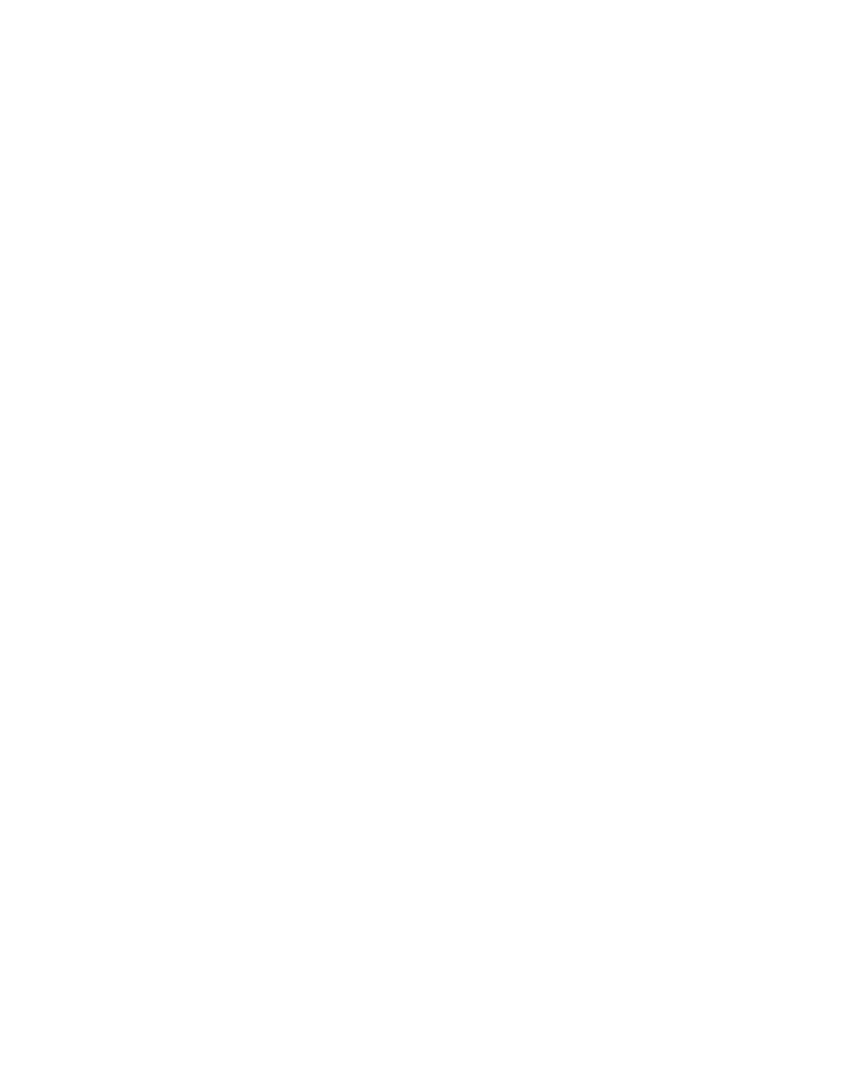## **Population Trends**

| Year | City of Saratoga Springs | Saratoga County | New York State |
|------|--------------------------|-----------------|----------------|
| 1970 | 18.845                   | 121.764         | 18,236,882     |
| 1980 | 23,906                   | 153,759         | 17,558,072     |
| 1990 | 25,001                   | 181,276         | 17,990,455     |
| 2000 | 26,186                   | 200,635         | 18,976,457     |
| 2008 | 28,844                   | 217,191         | 19,490,297     |
| 2010 | 26,586                   | 219,607         | 19,378,102     |
| 2014 | 27.436                   | 224.921         | 19,746,227     |

Source: U.S. Census.

## **Selected Wealth and Income Indicators**

Per capita income statistics are available for the City, County and State. Listed below are select figures from the 2000 census and 2006-2010 and 2010-2014 American Community Survey data.

|                           |             | Per Capita Income |              | Median Family Income |           |           |  |  |
|---------------------------|-------------|-------------------|--------------|----------------------|-----------|-----------|--|--|
|                           | <b>2000</b> | 2006-2010         | 2010-2014    | 2000                 | 2006-2010 | 2010-2014 |  |  |
| City of:                  |             |                   |              |                      |           |           |  |  |
| Saratoga Springs \$23,945 |             | \$35.342          | 39.395<br>\$ | \$58,213             | \$86,114  | 97,253    |  |  |
| County of:                |             |                   |              |                      |           |           |  |  |
| Saratoga                  | 23.945      | 32.186            | 35,860       | 58.213               | 81.251    | 87,721    |  |  |
| State of:                 |             |                   |              |                      |           |           |  |  |
| New York                  | 23.389      | 30.948            | 32,829       | 51.691               | 67.405    | 71.419    |  |  |

Note: 2011-2015 American Community Survey estimates are not available as of the date of this Official Statement.

Source: U.S. Census Bureau, 2000 census, 2006-2010 and 2010-2014 American Community Survey data.

## **Major Employers**

Some of the major employers located within the City are as follows:

|                                           |                             | Approximate Number |
|-------------------------------------------|-----------------------------|--------------------|
| Name of Employer                          | <b>Type of Business</b>     | Employed           |
| Saratoga Hospital                         | Hospital and Nursing Home   | 1,850              |
| Skidmore College                          | <b>Higher Education</b>     | 1,120              |
| Saratoga Springs City School District     | Public School System        | 1,010              |
| Stewart's Ice Cream                       | Retail                      | 990                |
| <b>Quad Graphics</b>                      | Manufacturing               | 800                |
| Wesley Health Care                        | <b>Health Services</b>      | 680                |
| Saratoga Casino Hotel                     | Casino/Race Track           | 640                |
| New Country Motor Car Group               | Retail                      | 350                |
| Four Winds – Saratoga                     | <b>Health Services</b>      | 315                |
| City of Saratoga Springs                  | <b>Municipal Services</b>   | 314                |
| <b>Ball Corporation</b>                   | Manufacturing               | 230                |
| Espey Manufacturing & Electronics Company | Manufacturing               | 200                |
| Holiday Inn                               | Hotel and Conference Center | 180                |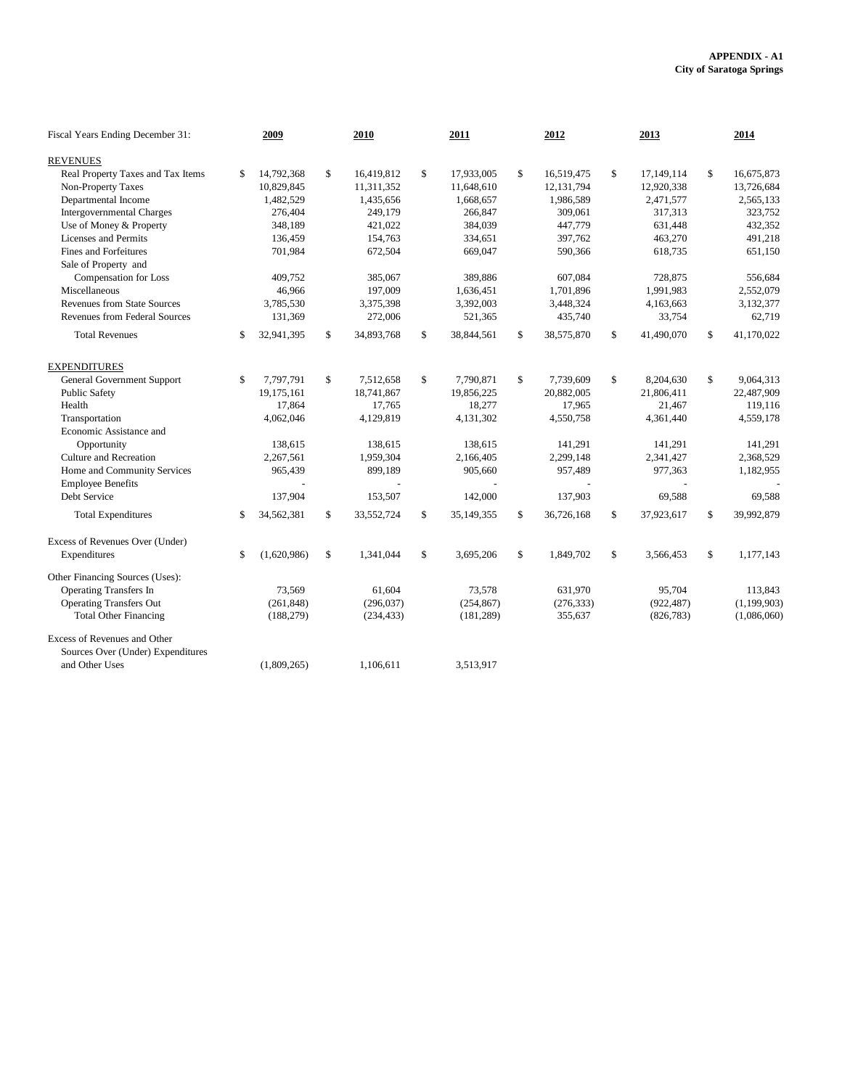## **Unemployment Rate Statistics**

Unemployment statistics are available for the City, County and State. The information set forth below with respect to Saratoga County is included for informational purposes only. It should not be implied from the inclusion of such data in this Official Statement that Saratoga County is necessarily representative of the City, or vice versa.

|                          |            |            |            |            | <b>Annual Average</b>       |      |      |      |      |  |
|--------------------------|------------|------------|------------|------------|-----------------------------|------|------|------|------|--|
|                          | 2009       |            | 2010       |            | 2011                        | 2012 | 2013 | 2014 | 2015 |  |
| City of Saratoga Springs | 5.8%       |            | 6.9%       |            | 7.1%                        | 7.0% | 5.7% | 4.6% | 4.2% |  |
| County of Saratoga       | 6.3%       |            | 6.9%       |            | 6.7%                        | 6.8% | 5.8% | 4.6% | 4.2% |  |
| State of New York        | 8.3%       |            | 8.6%       |            | 8.3%                        | 8.5% | 7.7% | 6.3% | 5.3% |  |
|                          |            |            |            |            | <b>2016 Monthly Figures</b> |      |      |      |      |  |
|                          | <u>Jan</u> | <b>Feb</b> | <u>Mar</u> | <u>Apr</u> | May                         |      |      |      |      |  |
| City of Saratoga Springs | 4.3%       | 4.2%       | 4.0%       | 4.0%       | N/A                         |      |      |      |      |  |
| County of Saratoga       | 4.4%       | 4.3%       | 4.1%       | 3.7%       | N/A                         |      |      |      |      |  |
| State of New York        | 5.4%       | 5.4%       | 5.2%       | 4.6%       | N/A                         |      |      |      |      |  |

Source: Department of Labor, State of New York. Figures not seasonally adjusted.

## **Banking Facilities**

The City is served by numerous commercial and savings banks. These include The Adirondack Trust Company, KeyBank, N.A., Ballston Spa National Bank, NBT Bank, N.A., Bank of America, N.A., Saratoga National Bank and Trust Company and Trustco Bank.

## **Recent Development Activity**

Over recent years the City has continued to experience new construction and rehabilitation of businesses within the City.

## *Completed – New Construction*

|                                        |           |                      |               | #                  | <b>Commercial</b> |
|----------------------------------------|-----------|----------------------|---------------|--------------------|-------------------|
|                                        | Approval  |                      |               | <b>Residential</b> | <b>Square</b>     |
| <b>Project</b>                         | Date      | Location             | <b>Status</b> | <b>Units</b>       | <b>Footage</b>    |
| Paquet Subdivision                     | 9/11/2013 | Old Schuylerville Rd | Constructed   |                    | N/A               |
| <b>Benedict Street Lot Subdivision</b> | 9/23/2014 | 165 Ash Street       | Constructed   |                    | N/A               |
| 2 West Ave Mixed Use Development       | 4/9/2014  | 2 West Avenue        | Constructed   | 63                 | 5,500             |
| 15 Church Street Restaurant Patio      | 5/8/2014  | 15 Church Street     | Constructed   | N/A                | 590               |
| Verizon Cell Tower – Hutchins Rt 60    | 1/14/2015 | 2202 NYS Rt 50 South | Constructed   | N/A                | N/A               |
| <b>McIntyre Subdivision</b>            | 1/12/2014 | 28-32 White Street   | Constructed   |                    | N/A               |
|                                        |           |                      | Subtotal:     | 66                 | 6.090             |

## *Completed – Redevelopment Additions*

| <b>Project</b>                   | Approval<br>Date                | Location           | <b>Status</b>   | # Residential<br><b>Units</b> | <b>Commercial</b><br><b>Square Footage</b> |
|----------------------------------|---------------------------------|--------------------|-----------------|-------------------------------|--------------------------------------------|
| St. John Neumann Rehabilitation  | 7/23/2014                       | 231 Lake Avenue    | Constructed     | 76                            | N/A                                        |
| Stewarts Shop #104 Addition      | 1/28/2015                       | 30 Church Street   | Constructed     | N/A                           | 475                                        |
| Nurture Green Salon and Spa      | 7/23/2014                       | 182 South Broadway | Constructed     | N/A                           | No increase                                |
| 569 North Broadway               | 11/12/2014                      | 569 North Broadway | Constructed     | N/A                           | 756                                        |
| Family Vision Center Parking Lot | 1/4/2015                        | 205 Lake Avenue    | Constructed     | N/A                           | N/A                                        |
|                                  |                                 |                    | <b>Subtotal</b> | 76                            | 1.231                                      |
|                                  | <b>Total Completed in 2015:</b> | 142                | 7.321           |                               |                                            |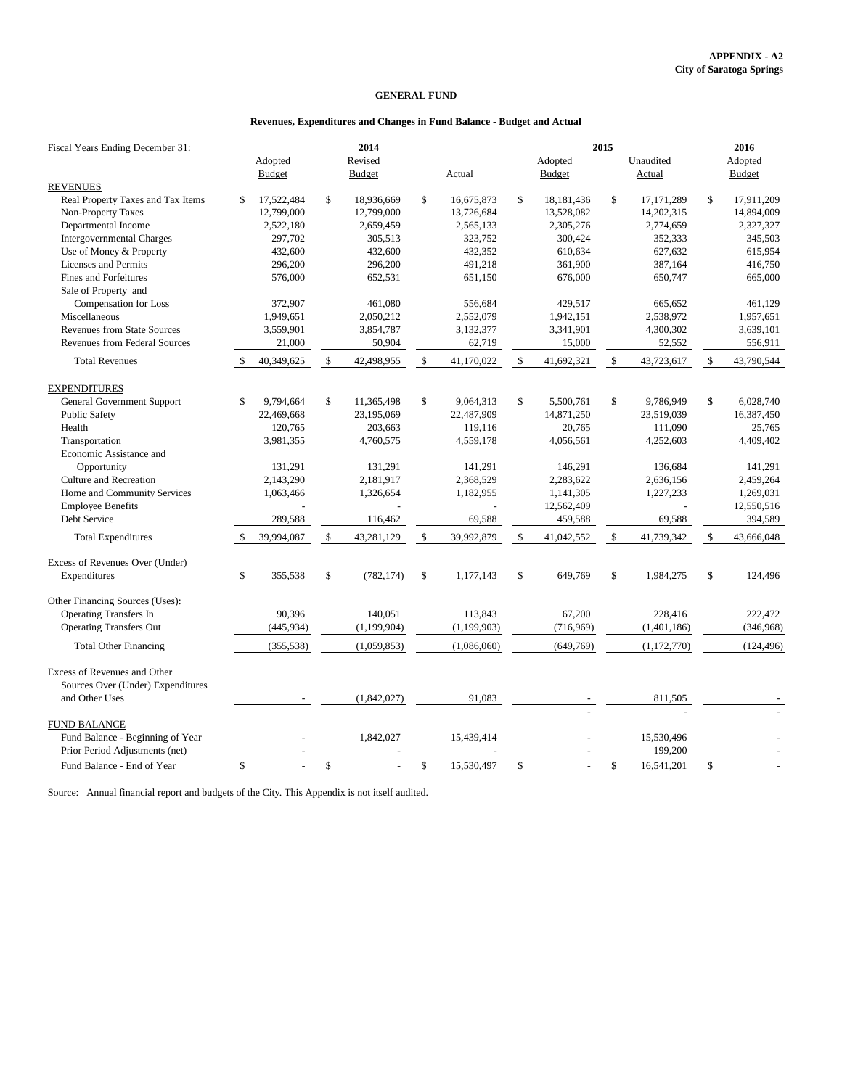| Project                                          | <b>Approval</b><br>Date | <b>Location</b>                      | <b>Status</b>         | # Residential<br><b>Units</b> | <b>Commercial</b><br><b>Square Footage</b> |
|--------------------------------------------------|-------------------------|--------------------------------------|-----------------------|-------------------------------|--------------------------------------------|
| McKenzie's Way Part 1                            | 5/26/2010               | East Broadway                        | Under                 | 8                             | n/a                                        |
|                                                  |                         |                                      | Construction          |                               |                                            |
| McKenzie's Way Part 2                            | 5/26/2010               | East Broadway                        | Under                 | 6                             | n/a                                        |
|                                                  |                         |                                      | Construction          |                               |                                            |
| Lands of JC Beekman                              | 3/27/2013               | East Side of Beekman                 | Under                 | 1                             | n/a                                        |
|                                                  |                         | Street, North of                     | Construction          |                               |                                            |
|                                                  |                         | Division Street, West                |                       |                               |                                            |
|                                                  |                         | Side of Walworth                     |                       |                               |                                            |
| City Square (Ellsworth                           | 3/26/2014               | <b>Street</b><br>120 Division Street | Under                 | 41                            | 4,000                                      |
| Redevelopment)                                   |                         |                                      | Construction          |                               |                                            |
| Project PUREsource                               | 1/8/2014                | Duplainville Road                    | Under                 | n/a                           | 7,000                                      |
|                                                  |                         |                                      | Construction          |                               |                                            |
| Adelphi Hotel                                    | $5/1/13$ ,              | 365 Broadway                         | Under                 | n/a                           | No net increase                            |
| Redevelopment                                    | 7/17/13 &               |                                      | Construction          |                               |                                            |
|                                                  | 3/5/14                  |                                      |                       |                               |                                            |
| <b>Beaver Pond Subdivision</b>                   | 2/23/2011               | Geyser Road                          | Under                 | 84                            | n/a                                        |
|                                                  |                         |                                      | Construction          |                               |                                            |
| Meadow Vista Subdivision                         | 7/9/2008                | <b>Grand Avenue</b>                  | Under                 | 21                            | n/a                                        |
|                                                  |                         |                                      | Construction          |                               |                                            |
| East Broadway Subdivision<br>(Belmonte)          | 4/11/2012               | 5 East Broadway                      | Under                 | $\overline{4}$                | n/a                                        |
| Wagner Subdivision (Joshua                       | 4/29/2009               | East Broadway                        | Construction<br>Under | 5                             | n/a                                        |
| Place)                                           |                         |                                      | Construction          |                               |                                            |
| Saratoga Honda Expansion                         | 5/8/13                  | 3402 Route 9 (South                  | Under                 | n/a                           | 29,000                                     |
|                                                  |                         | Broadway)                            | Construction          |                               |                                            |
| <b>Excelsior Avenue Mixed Use</b>                | 3/27/2013               | Excelsior/Marion                     | Under                 | 41                            | 53,707                                     |
| Development (formerly                            |                         |                                      | Construction          |                               |                                            |
| Lexington Club) (Includes                        |                         |                                      |                       |                               |                                            |
| modification)                                    |                         |                                      |                       |                               |                                            |
| Saratoga Hospital ICU                            | 10/23/2013              | 211 Church Street                    | Under<br>Construction | n/a                           | 33,900                                     |
| Home of the Good Shepherd                        | 7/24/2013               | 394-402 Church Street                | Under                 | 14                            | 45,905                                     |
| Senior Assisted Living and                       |                         |                                      | Construction          |                               |                                            |
| Senior Housing-total of 146                      |                         |                                      |                       |                               |                                            |
| units/beds (within facility and                  |                         |                                      |                       |                               |                                            |
| 14 cottage units)                                |                         |                                      |                       |                               |                                            |
| Latchford Subdivision                            | 9/12/2012               | 22 Doten Avenue                      | Under                 | $\overline{2}$                | n/a                                        |
|                                                  |                         |                                      | Construction          |                               |                                            |
| Rood & Riddle-Saratoga<br><b>Equine Hospital</b> | 4/9/2014                | 63 Henning Road                      | Under<br>Construction | n/a                           | 9,000                                      |
| 316-318 Ballston Ave                             | 1/25/2012               | 215 Grand Avenue                     | Under                 | 12                            | n/a                                        |
|                                                  |                         |                                      | Construction          |                               |                                            |
| <b>Washington Commons Site</b>                   | 7/3/2011                | Washington Street and                | Under                 | 12                            | 15,000                                     |
| Plan                                             |                         | Central Ave                          | Construction          |                               |                                            |
|                                                  |                         |                                      |                       |                               |                                            |
| Greenfield Manufacturing                         | 9/10/2014               | 25 Freedom Way                       | Under                 | n/a                           | 24,750                                     |
|                                                  |                         |                                      | Construction          |                               |                                            |
| Trojanski Subdivision                            | 10/8/2014               | Intersection of East                 | Under                 | 1                             | n/a                                        |
|                                                  |                         | Broadway and                         | Construction          |                               |                                            |
|                                                  |                         | Cleveland Avenue                     |                       |                               |                                            |
| Triple Crown Subdivision                         | extension<br>approved   | Richard Ave                          | Under<br>Construction | 3                             | n/a                                        |
|                                                  | 3/25/15                 |                                      |                       |                               |                                            |
| 86 Woodlawn 1 Unit to 4                          | 11/25/2014              | 86 Woodlawn Avenue                   | Under                 | $\overline{4}$                | n/a                                        |
| <b>Unit Conversion</b>                           |                         |                                      | Construction          |                               |                                            |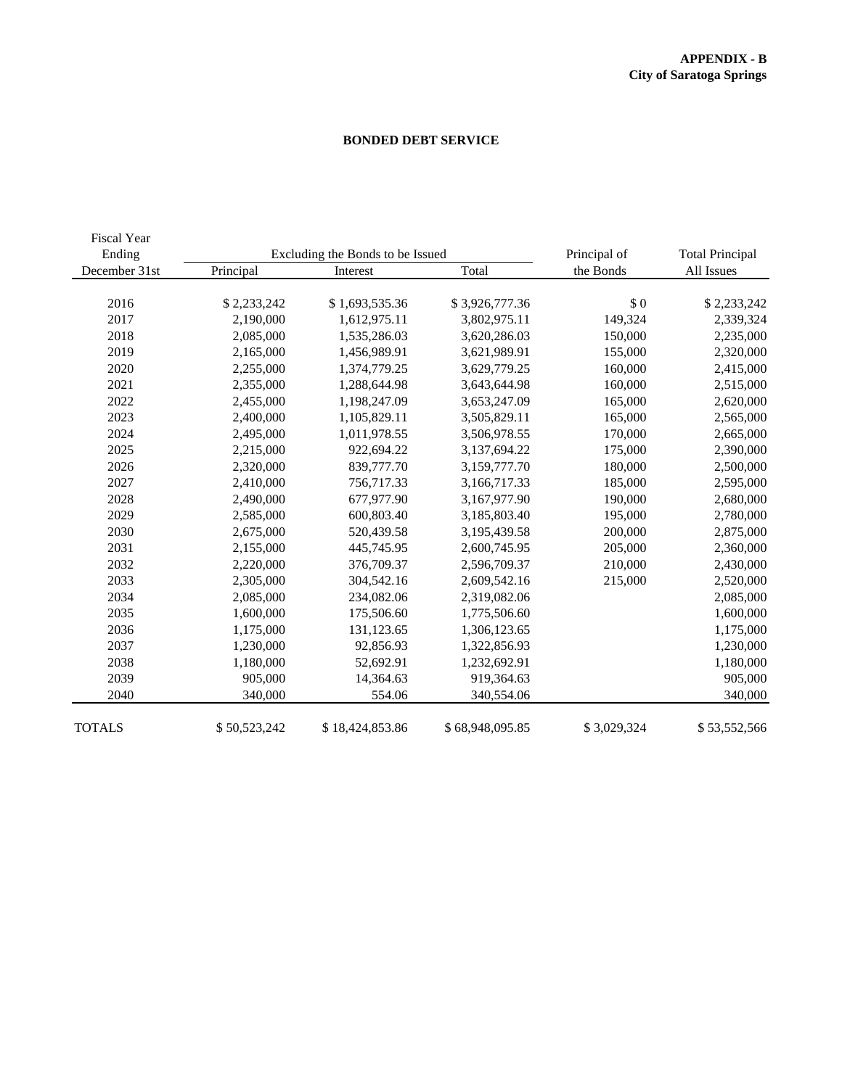| 166-168 Jefferson Street                                 | 12/10/2014 | 166-168<br>Jefferson<br><b>Street</b>       | Under<br>Construction | 10  | n/a     |
|----------------------------------------------------------|------------|---------------------------------------------|-----------------------|-----|---------|
| Druther's Brew Pub                                       | 1/28/2015  | 381 Broadway                                | Under<br>Construction | N/A | 887     |
| 130 Excelsior Mixed Use                                  | 4/8/2014   | 130 Excelsior Ave                           | Under<br>Construction | 65  | 2,750   |
| <b>Yaddo Artist Cottages</b>                             | 6/25/2014  | Union Avenue & I-87                         | Under<br>Construction | 3   | N/A     |
| <b>Hidden Fountain Commons</b>                           | 4/23/2014  | 61 Lawrence Street $\&$<br>87 Church Street | Under<br>Construction | 6   | 3,420   |
| Doten Avenue Subdivision                                 | 9/11/2013  | 54 Doten Avenue                             | Under<br>Construction | 3   | N/A     |
| 79 Henry Street Mixed Use<br><b>Building</b>             | 4/9/2014   | 79 Henry Street                             | Under<br>Construction | N/A | 19,160  |
| Saratoga Springs Homewood<br>Suites (112 Rooms)          | 9/10/2014  | 3368 South Broadway                         | Under<br>Construction | N/A | 102,401 |
| Agrochem Farm & Dairy<br>Products                        | 7/22/2015  | Freedom Way                                 | Under<br>Construction | N/A | 35,200  |
| <b>ANG Natural Gas Vehicle</b><br><b>Fueling Station</b> | 7/8/2015   | Cady<br>Hill<br>34<br>Boulevard             | Under<br>Construction | N/A | N/A     |
| <b>Hickey Subdivision</b>                                | 7/8/2015   | 10 Avery Street                             | Under<br>Construction | 1   | N/A     |
| Saratoga Independent School<br>Expansion                 | 5/27/2015  | 459-539 Lake Avenue                         | Under<br>Construction | N/A | 20,200  |
| Williamsburg Court Garage                                | 5/27/2015  | 150 Lincoln Avenue                          | Under<br>Construction | N/A | N/A     |
| <b>Excelsior Park Phase 2</b>                            | 9/9/2015   | <b>Excelsior Avenue</b>                     | Under<br>Construction | 105 | N/A     |
|                                                          |            |                                             | <b>Subtotal</b>       | 452 | 406,280 |

## *Approved and awaiting construction*

|                                | <b>Approval</b> |                            |               | # Residential  | <b>Commercial</b>     |
|--------------------------------|-----------------|----------------------------|---------------|----------------|-----------------------|
| Project                        | Date            | Location                   | <b>Status</b> | <b>Units</b>   | <b>Square Footage</b> |
| Spa Solar Park                 | 7/8/2015        | Weibel Avenue              | Council       | N/A            | N/A                   |
| Development                    |                 | Landfill                   | Approved      |                |                       |
|                                |                 |                            | Action        |                |                       |
| Logistics One Flex             | 12/8/2010       | 29, 31, 33 Cady Hill       | Site Plan     | n/a            | 145,000               |
| Warehouse Expansion Site       |                 | Blvd, WJ Grande            |               |                |                       |
| Plan                           |                 | <b>Industrial Park</b>     |               |                |                       |
| Old Bryan Inn                  | 7/27/2011       | 123 Maple Avenue           | Site Plan     | N/A            | 2,600                 |
| <b>Rytodebar Realty Office</b> | 9/10/2014       | 137 Maple Avenue           | Site Plan     | N/A            | 1,067                 |
| Expansion                      |                 |                            |               |                |                       |
| Caffe Lena Addition            | 4/10/2013       | 47 Phila Street            | Site Plan     | n/a            | 836                   |
| 109 Washington Street          | 7/9/2014        | 109 Washington St.         | Site Plan     | 3              | n/a                   |
| (Kay-Graham Multi-Family)      |                 |                            |               |                |                       |
| 246 West Ave Residences        | 2/22/2012       | 246 West Ave               | Site Plan     | 16             | n/a                   |
| Subdivision of Lands on        | 4/23/2014       | 11-17 Kaydeross            |               | 4              | n/a                   |
| Kaydeross Avenue West          |                 | <b>Avenue West</b>         | Subdivision   |                |                       |
| Cogan Subdivision              | 11/14/2012      | 165 West Circular          | Subdivision   | 1              | n/a                   |
| <b>Buff Road Subdivision</b>   | 11/14/2012      | <b>Buff Road and Route</b> | Subdivision   | 15             | n/a                   |
|                                |                 | 9N                         |               |                |                       |
| Holiday Inn Renovations        | 6/11/2014       | 232 Broadway               | Site Plan     | n/a            | 1,200                 |
| <b>Downton Walk</b>            | 11/12/2014      | 27 Jumel Place             | Site Plan     | $\overline{7}$ | n/a                   |
| Rip Van Dam Hotel (176         | 3/26/2014       | 353 Broadway               | Site Plan     | n/a            | 108,000               |
| room expansion, banquet        |                 |                            |               |                |                       |
| space)                         |                 |                            |               |                |                       |
|                                |                 |                            |               |                |                       |
|                                |                 |                            |               |                |                       |
| <b>Hamilton Street Parking</b> | 6/25/2014       | Hamilton Street,           | Site Plan     | n/a            | n/a                   |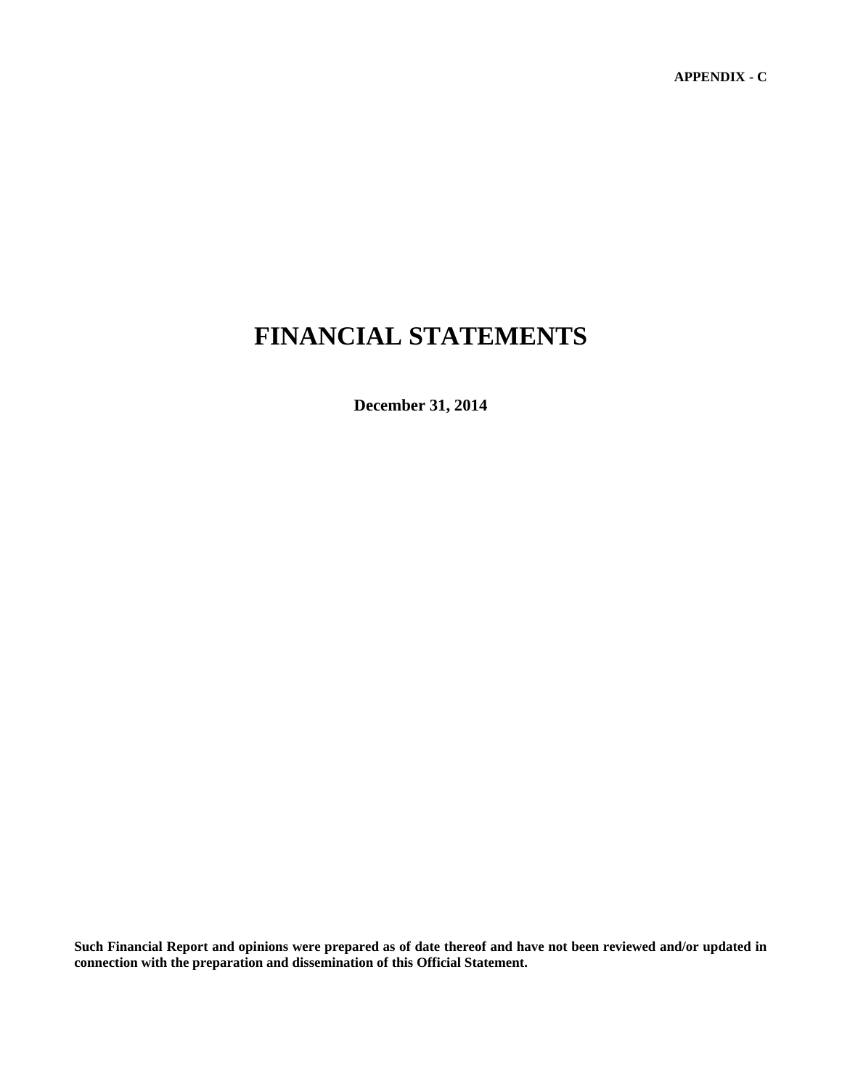| Garage (4-story, 274 spaces,<br>affiliated with Rip Van Dam<br>Hotel) |                       | between Congress and<br>Williams                      |                                    |                |         |
|-----------------------------------------------------------------------|-----------------------|-------------------------------------------------------|------------------------------------|----------------|---------|
| Saratoga Spring Water<br>Warehouse Expansion                          | 4/22/2015             | 11 Geyser Road                                        | Site Plan                          | n/a            | 13,423  |
| <b>Graziano Property</b><br>Subdivision                               | 7/22/2015             | 33 Joseph Street                                      | Subdivision                        | 1              | N/A     |
| <b>Bazaar Subdivision</b>                                             | N/A                   | 2 North Circular Street                               | Subdivision                        | 1              | N/A     |
| East Ave Mixed Use<br>Development                                     | 11/12/2015            | East and Excelsior<br>Avenues                         | Special Use<br>Permit/Site<br>Plan | 12             | 6,028   |
| <b>City Center Parking Garage</b>                                     | 11/12/2015            | Maple Avenue, New<br>York Street, High Rock<br>Avenue | Site Plan                          | N/A            | N/A     |
| Oak Ridge Phase 2<br>Subdivision                                      | 10/28/2015            | Meadowbrook Road                                      | Subdivision                        | 72             | N/A     |
| <b>East Avenue Residences</b>                                         | 11/12/2015            | East and Excelsior<br>Avenues                         | Special Use<br>Permit/Site<br>Plan | $\overline{2}$ | N/A     |
| Children's Museum<br>Addition                                         | 9/9/2015              | 69 Caroline Street                                    | Site Plan                          | N/A            | 1,114   |
| <b>Excelsior Park Phase 2A</b>                                        | 11/12/2015            | <b>Excelsior Avenue</b>                               | Site Plan                          | 18             | N/A     |
| Bethesda Parish House<br>Expansion                                    | 9/9/2015              | 28 Washington Street                                  | Site Plan                          | N/A            | 30,602  |
| Church of Latter Day Saints                                           | 12/9/2015             | <b>Glenmore Avenue</b>                                | Special Use<br>Permit              | N/A            | 1,800   |
| Hoffman Carwash Facility                                              | 9/24/2015             | 2214 NYS Route 50                                     | Special<br>Use/Site Plam           | N/A            | 4,280   |
|                                                                       |                       |                                                       | <b>Subtotal</b><br>Approved        | 46             | 272,126 |
| DEVELOPMENT TOTAL: (Constructed, Under Construction, Pending          | <b>Construction</b> ) | 640                                                   | 685,727                            |                |         |

## *Pending Approval/Potential 2016*

|                                                | Approval                 |                        |                 | # Residential  | <b>Commercial</b>     |
|------------------------------------------------|--------------------------|------------------------|-----------------|----------------|-----------------------|
| <b>Project</b>                                 | Date                     | Location               | <b>Status</b>   | <b>Units</b>   | <b>Square Footage</b> |
| Subdivision Lands of                           |                          | 178 and 180            | Subdivision     |                | n/a                   |
| Harrison                                       |                          | Meadowbrook Road       |                 |                |                       |
|                                                | $\overline{\phantom{0}}$ | 77 Excelsior Avenue    | Special Use     | 101            | 1,300                 |
| 77 Excelsior Mixed Use                         |                          |                        | Permit/Site     |                |                       |
| Development                                    |                          |                        | Plan            |                |                       |
| <b>Union Fox Apartments</b>                    |                          | 72 Union Avenue        | Site Plan       | $\mathfrak{D}$ | n/a                   |
|                                                |                          | 19-23 Washington       | Site Plan       | n/a            | tbd                   |
| Adelphi Expansion                              |                          | <b>Street</b>          |                 |                |                       |
| 21 Park Place Condominiums                     |                          | 21 Park Place          | Site Plan       | $\tau$         | n/a                   |
| Pallette Stone Corp Precast<br><b>Building</b> |                          | Brook Road (CR-23)     | Site Plan       | n/a            | 14,000                |
|                                                |                          | 91 West Avenue and     |                 | n/a            | 14,368                |
| Rite Aid Redevelopment                         |                          | 242 Washington Street  | Site Plan       |                |                       |
| Saratoga Hospital Medical<br>Office Building   | -                        | 1 and 17 Morgan Street |                 | n/a            | 88,500                |
|                                                |                          |                        | <b>Subtotal</b> | 98             | 118,168               |
|                                                |                          |                        | Pending         |                |                       |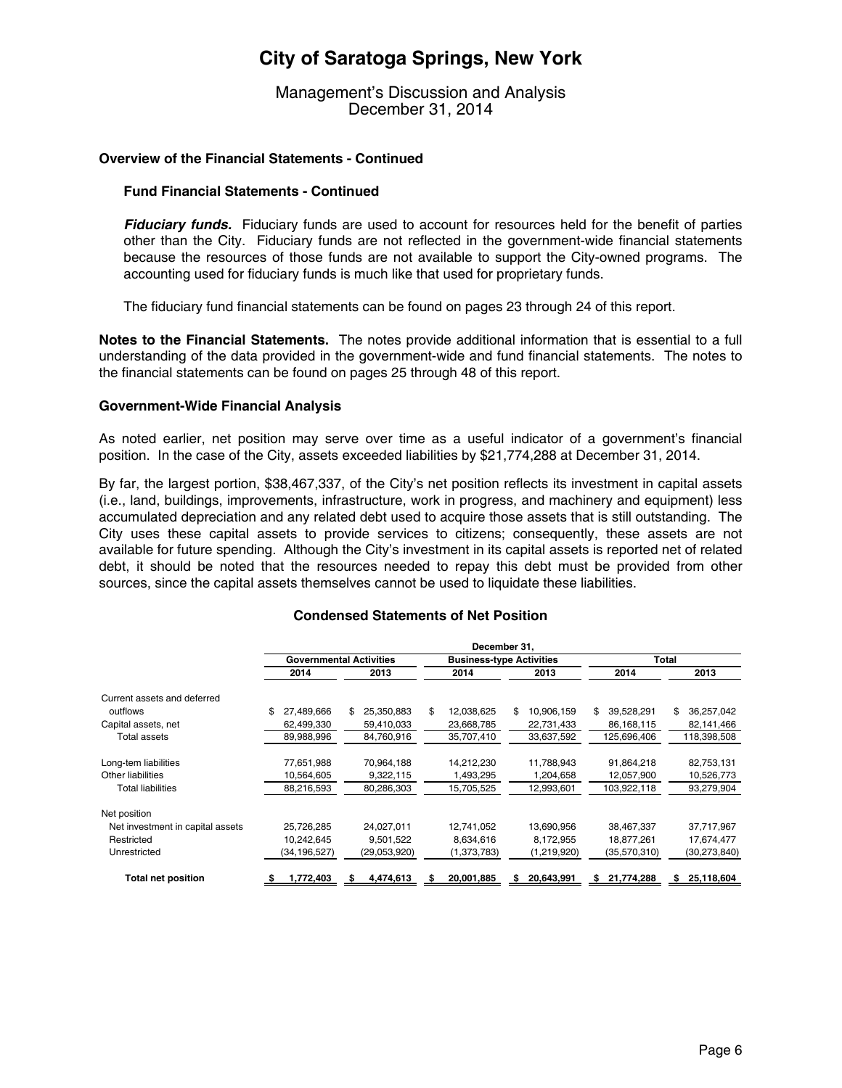#### **Form of City Government**

The governing body (City Council) of the City is composed of an elected mayor and four Commissioners. The Mayor and all Commissioners are elected for a term of two years at elections held every odd numbered year and serve from the following January 1. Each Commissioner is the head of one of the four departments of the City government. The four departments are Finance, Public Works, Public Safety and Accounts.

#### **Financial Organization**

The Commissioner of Finance is the chief fiscal officer of the City whose responsibility it is to receive, disburse and account for all financial transactions of the City. All financial accounting and cash flow procedures are computerized.

#### **Budgetary Procedures**

The Mayor and the Commissioners present their budget for the following fiscal year to the Commissioner of Finance on or before September 15 each year. The Commissioner of Finance then prepares a comprehensive budget for the forthcoming year and submits it to the City Council at the first regularly scheduled meeting of the Council in October each year. After receiving the proposed budget, the City Council publishes in the official City newspapers a summary of the budget and a notice stating the times and places where copies of the budget message and comprehensive budget are available for inspection by the public and the time and place, not less than one week after such publication, for at least two public hearings on the proposed budgets, the first of which is held on or before November 1. The summary and notice are placed on file at the City Clerk's office to be available for public review. The Council, at a regular or special meeting held after the second public hearing but not later than the  $30<sup>th</sup>$  day of November, by resolution adopts, or amends and adopts, the budget, which budget when adopted thereupon becomes the annual budget of the City for the ensuing fiscal year. If a budget is not adopted by November 30, the Comprehensive Budget becomes the budget for the ensuing fiscal year. During the year, several supplementary appropriations by resolution are necessary.

The City did not exceed the tax levy limitation for Fiscal Year 2016. In fact, the City has a carryover of \$148,687 toward the 2017 tax levy limitation calculation. See "Tax Levy Limitation Law" herein.

#### **Investment Policy**

Pursuant to the statutes of the State of New York, the City is permitted to invest only in the following investments: (1) special time deposits or certificates of deposits in a bank or trust company located and authorized to do business in the State of New York; (2) obligations of the United States of America; (3) obligations guaranteed by agencies of the United States of America where the payment of principal and interest is guaranteed by the United States of America; (4) obligations of the State of New York; (5) with the approval of the New York State Comptroller, tax anticipation notes and revenue anticipation notes issued by any New York municipality or district corporation, other than the City; (6) obligations of a New York public corporation which are made lawful investments by the City pursuant to another provision of law; (7) certain certificates of participation issued on behalf of political subdivisions of the State of New York; and (8) in the case of City moneys held in certain reserve funds established pursuant to law, obligations issued by the City. These statutes further require that all bank deposits, in excess of the amount insured under the Federal Deposit Insurance Act, be secured by either a pledge of eligible securities, an eligible surety bond or an eligible letter of credit, as those terms are defined in the law.

Consistent with the above statutory limitations, it is the City's current policy to invest in: (1) certificates of deposit or time deposit accounts that are fully secured as required by statute, (2) obligations of the United States of America or (3) obligations guaranteed by agencies of the United States of America where the payment of principal and interest is guaranteed by the United States of America. In the case of obligations of the United States government, the City may also purchase such obligations pursuant to a written repurchase agreement that requires the purchased securities be delivered to a third party custodian bank or trust company.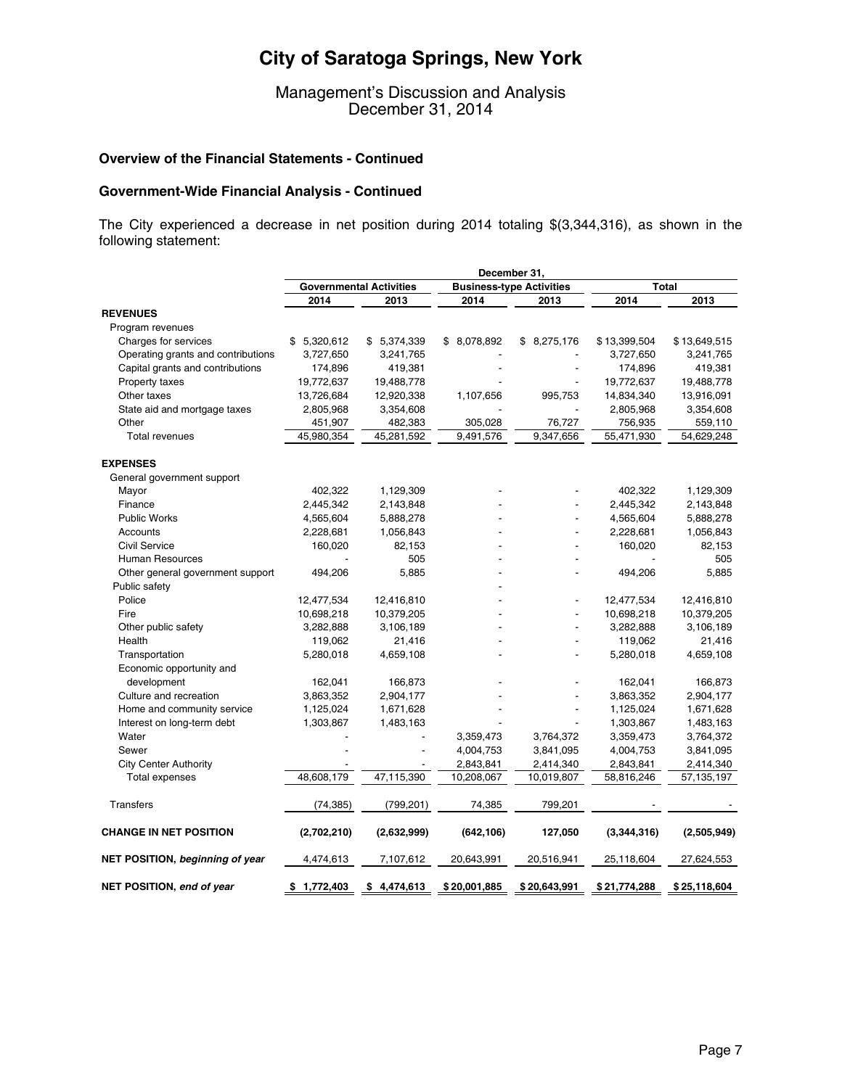#### **State Aid**

The City receives financial assistance from the State. In its budget for the current fiscal year, approximately 8.3% of the revenues of the City are estimated to be received in the form of State aid. If the State should experience difficulty in borrowing funds in anticipation of the receipt of State taxes in order to pay State aid to municipalities in the State, including the City, in any year, the City may be affected by a delay in the receipt of State aid until sufficient State taxes have been received by the State to make State aid payments. Additionally, if the State should not adopt its budget in a timely manner, in any year municipalities and cities in the State, including the City, may be affected by a delay in the payment of State aid.

The State is not constitutionally obligated to maintain or continue State aid to the City. No assurance can be given that present State aid levels will be maintained in the future. In view of the State's continuing budget problems, future State aid reductions are likely. State budgetary restrictions which eliminate or substantially reduce State aid could have a material adverse effect upon the City requiring either a counterbalancing increase in revenues from other sources to the extent available, or a curtailment of expenditures (See also "MARKET AND RISK FACTORS" herein).

#### **Employees**

The City provides services through approximately 314 full-time employees. The bargaining units, approximate number of members and contract expiration dates are as follows:

| Bargaining Unit       | Number of Members <sup>(1)</sup> | <b>Contract Expiration Date</b>  |
|-----------------------|----------------------------------|----------------------------------|
| Fire Department       | 60                               | December 31, 2013 <sup>(2)</sup> |
| Fire Chiefs           | 2                                | December 31, 2017                |
| PBA                   | 66                               | December 31, 2017                |
| Police Lieutenants    | 4                                | December 31, 2016                |
| Police Chiefs         | 2                                | December 31, 2019                |
| <b>CSEA City Hall</b> | 87                               | December 31, 2016                |
| CSEA DPW              | 83                               | December 31, 2016                |
|                       |                                  |                                  |

(1) As of March 16, 2016.

Currently in negotiations.

#### **Status and Financing of Employee Pension Benefits**

Substantially all employees of the City are members of the New York State and Local Employees' Retirement System ("ERS") or the New York State and Local Police and Fire Retirement System ("PFRS"; with ERS, the "Retirement Systems"). The ERS and PFRS together are generally also known as the "Common Retirement Fund". The Retirement Systems are costsharing multiple public employer retirement systems. The obligation of employers and employees to contribute and the benefit to employees are governed by the New York Retirement and Social Security Law (the "Retirement System Law"). The Retirement Systems offer a wide range of plans and benefits which are related to years of service and final average salary, vesting of retirement benefits, death and disability benefits and optional methods of benefit payments. All benefits generally vest after ten years of credited service. The Retirement System Law generally provides that all participating employers in each retirement system are jointly and severally liable for any unfunded amounts. Such amounts are collected through annual billings to all participating employers. Generally, all employees, except certain part-time employees, participate in the Retirement Systems. The Retirement Systems are non-contributory with respect to members hired prior to July 27, 1976. All members hired on or after July 27, 1976 must contribute 3% of gross annual salary toward the cost of retirement programs.

On December 12, 2009, a new Tier V was signed into law. The law became effective for new hires on January 1, 2010. Key components of Tier V include:

- Raising the minimum age at which most civilians can retire without penalty from 55 to 62 and imposing a penalty of up to 38% for any civilian who retires prior to age 62.
- Requiring employees to continue contributing 3% of their salaries toward pension costs so long as they accumulate additional pension credits.
- Increasing the minimum years of service required to draw a pension from 5 years to 10 years.
- Capping the amount of overtime that can be considered in the calculation of pension benefits for civilians at \$15,000 per year, and for police and firefighters at 15% of non-overtime wages.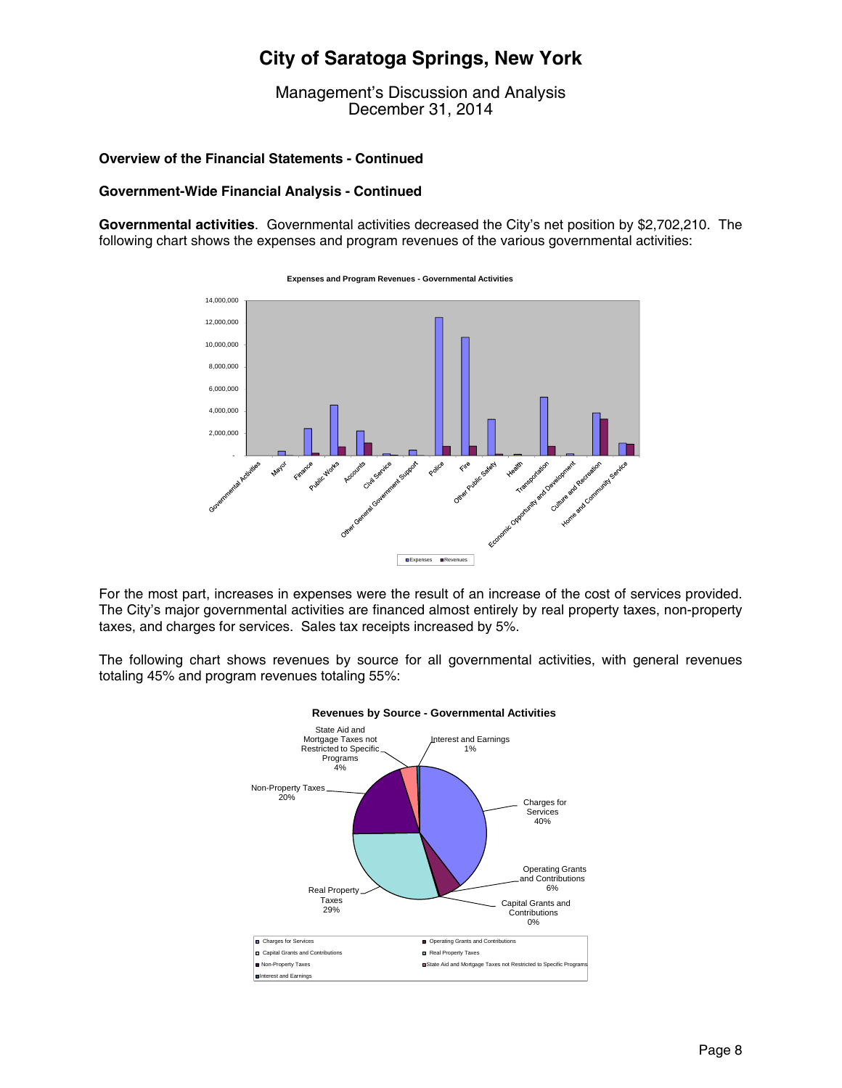On March 16, 2012 Governor Cuomo signed into law public employee pension reform that added a new Tier VI. The Tier VI plan only applies to those employees hired after April 1, 2012.

Below is a brief summary highlighting a number of components from the Tier VI legislation:

- The employee contribution rates will vary based on a salary sliding scale from 3% to 6% of salary.
- Under previous tiers, there was no limit to the number of public employers a public employee worked for from which retirement benefits could be calculated. Tier VI only permits two salaries to be included in the calculation.
- The legislation includes an optional defined contribution plan for new non-union employees with annual salaries of \$75,000 and over. The employer will make an 8% contribution to employee contribution accounts. This is a voluntary option for those employees.
- The new tier increases the minimum retirement age from 62 to 63 and allows for early retirement with penalties. There will be a permanent reduction of a pension payout for each year a person retires prior to age 63.
- The pension multiplier for Tier VI will be 1.75% for the first 20 years of service and 2% starting in the 21st year.
- Employees will vest after 10 years of service. This is not a change from Tier V.
- The number of sick and leave days that can be applied toward retirement service credit is reduced from 200 to 100.
- The final average salary will be based on a 5-year average instead of the current 3-year average. The annual growth in salary used to determine pension allowances is capped at 10% of the average salary of the previous four years (lump sum payments of unused sick and vacation time are eliminated from the calculation).
- Pension eligible overtime for civilian and non-uniformed employees will be capped at \$15,000 plus inflation. For uniformed employees (primarily police and fire) outside of New York City, the cap is set at 15% of base pay.
- The State will be required to fund any pension enhancements on an ongoing basis. This is a potential future cost savings for local governments.

The 2013-14 State Enacted Budget includes a provision that would provide local governments, including the City, with the option to "lock-in" long-term, stable rate pension contributions for a period of years determined by the State Comptroller and ERS and PFRS. For 2014 and 2015 the rate is 12% for ERS and 20% for PFRS; the rates applicable to 2016 and thereafter are subject to adjustment. The pension contribution rates under this program would reduce near-term payments for employers, but will require higher than normal contributions in later years.

The City's contributions to the ERS and PFRS together for the years 2010 through 2015 and budgeted for 2016 are as follows:

| Fiscal Year | Amount         |                      |
|-------------|----------------|----------------------|
| 2010        | 3,123,287<br>S |                      |
| 2011        | 3,842,790      |                      |
| 2012        | 4,685,118      |                      |
| 2013        | 5,233,768      |                      |
| 2014        | 5,131,779      |                      |
| 2015        | 4,898,232      |                      |
| 2016        |                | 4,732,281 (Budgeted) |

Pursuant to various laws enacted between 1991 and 2002, the State Legislature authorized local governments to make available certain early retirement incentive programs to its employees. The City does not have any early retirement incentives outstanding.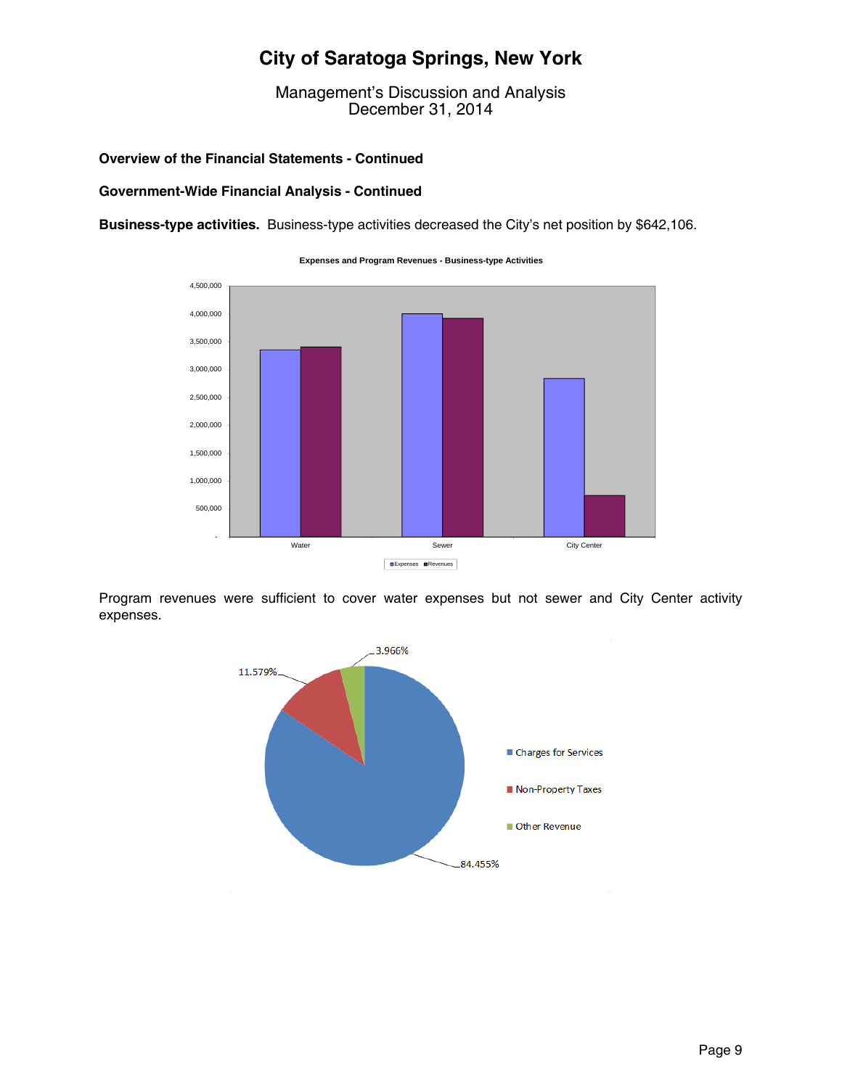Historically there has been a State mandate requiring full (100%) funding of the annual actuarially required local governmental contribution out of current budgetary appropriations. With the strong performance of the Retirement Systems in the 1990s, the locally required annual contribution declined to zero. However, with the subsequent decline in the equity markets, the pension system became underfunded. As a result, required contributions increased substantially to 15% to 20% of payroll for the employees' and the police and fire retirement systems, respectively. Wide swings in the contribution rate resulted in budgetary planning problems for many participating local governments.

The annual required pension contribution is due February 1 annually with the ability to pre-pay on December 15 at a discount.

A chart of average ERS and PFRS rates (2010 to 2017) is shown below:

| Year | <b>ERS</b> | <b>PFRS</b> |
|------|------------|-------------|
| 2010 | 7.4%       | 15.1%       |
| 2011 | 11.9       | 18.2        |
| 2012 | 16.3       | 21.6        |
| 2013 | 18.9       | 25.8        |
| 2014 | 20.9       | 28.9        |
| 2015 | 20.1       | 27.6        |
| 2016 | 18.2       | 24.7        |
| 2017 | 15.5       | 24.3        |
|      |            |             |

Chapter 57 of the Laws of 2010 (Part TT) amended the Retirement and Social Security Law to authorize participating local government employers, if they so elect, to amortize an eligible portion of their annual required contributions to both ERS and PFRS, when employer contribution rates rise above certain levels. The option to amortize the eligible portion began with the annual contribution due February 1, 2011. The amortizable portion of an annual required contribution is based on a "graded" rate by the State Comptroller in accordance with formulas provided in Chapter 57. Amortized contributions are to be paid in equal annual installments over a ten-year period, but may be prepaid at any time. Interest is to be charged on the unpaid amortized portion at a rate to be determined by State Comptroller, which approximates a market rate of return on taxable fixed rate securities of a comparable duration issued by comparable issuers. The interest rate is established annually for that year's amortized amount and then applies to the entire ten years of the amortization cycle of that amount. When in any fiscal year, the participating employer's graded payment eliminates all balances owed on prior amortized amounts, any remaining graded payments are to be paid into an employer contribution reserve fund established by the State Comptroller for the employer, to the extent that amortizing employer has no currently unpaid prior amortized amounts, for future such use.

The City has opted not to amortize any of the contribution.

The investment of monies and assumptions underlying same of the Retirement Systems covering the City's employees is not subject to the direction of the City. Thus, it is not possible to predict, control or prepare for future unfunded accrued actuarial liabilities of the Retirement Systems ("UAALs"). The UAAL is the difference between total actuarially accrued liabilities and actuarially calculated assets available for the payment of such benefits. The UAAL is based on assumptions as to retirement age, mortality, projected salary increases attributed to inflation, across-the-board raises and merit raises, increases in retirement benefits, cost-of-living adjustments, valuation of current assets, investment return and other matters. Such UAALs could be substantial in the future, requiring significantly increased contributions from the City which could affect other budgetary matters. Concerned investors should contact the Retirement Systems administrative staff for further information on the latest actuarial valuations of the Retirement Systems.

School districts and boards of cooperative educational services, unlike other municipal units of government in the State, have been prohibited from reducing retiree health benefits or increasing health care contributions received or paid by retirees below the level of benefits or contributions afforded to or required from active employees since the implementation of Chapter 729 of the Laws of 1994. Legislative attempts to provide similar protection to retirees of other local units of government in the State have not succeeded as of this date. Nevertheless, many such retirees of all varieties of municipal units in the State do presently receive such benefits.

#### **Other Post-Employment Benefits**

Healthcare Benefits. It should also be noted that the City provides employment healthcare benefits to various categories of former employees. These costs may be expected to rise substantially in the future. There is now an accounting rule that will require governmental entities, such as the City, to account for employment healthcare benefits as it accounts for vested pension benefits. GASB Statement No. 45 ("GASB 45") of the Governmental Accounting Standards Board ("GASB"), described below, requires such accounting.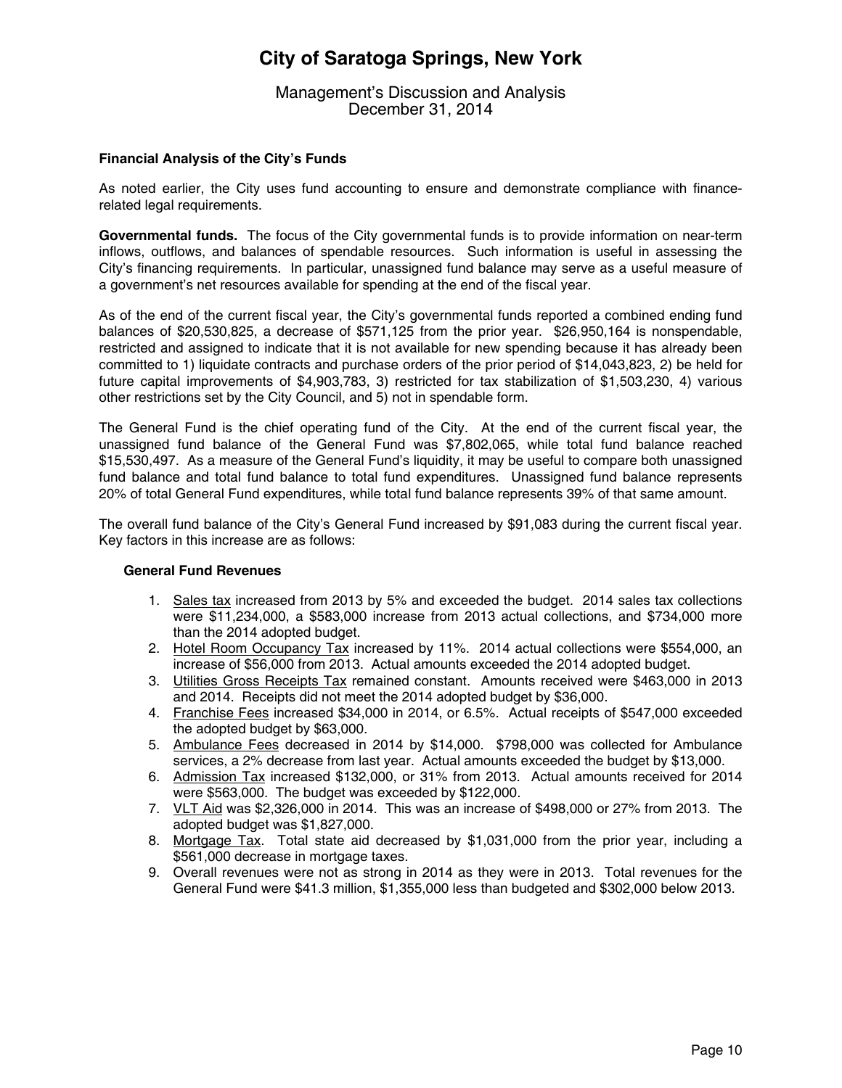School districts and boards of cooperative educational services, unlike other municipal units of government in the State, have been prohibited from reducing health benefits received by or increasing health care contributions paid by retirees below the level of benefits or contributions afforded to or required from active employees since the implementation of Chapter 729 of the Laws of 1994. Legislative attempts to provide similar protection to retirees of other local units of government in the State have not succeeded as of this date. Nevertheless, many such retirees of all varieties of municipal units in the State do presently receive such benefits.

GASB 45 and OPEB. OPEB refers to "other post-employment benefits," meaning other than pension benefits. OPEB consists primarily of health care benefits, and may include other benefits such as disability benefits and life insurance. Until now, these benefits have generally been administered on a pay-as-you-go basis and have not been reported as a liability on governmental financial statements.

GASB 45 requires municipalities and school districts to account for OPEB liabilities much like they already account for pension liabilities, generally adopting the actuarial methodologies used for pensions, with adjustments for the different characteristics of OPEB and the fact that most municipalities and school districts have not set aside any funds against this liability. Unlike GASB 27, which covers accounting for pensions, GASB 45 does not require municipalities or school districts to report a net OPEB obligation at the start.

Under GASB 45, based on actuarial valuation, an annual required contribution ("ARC") will be determined for each municipality or school district. The ARC is the sum of (a) the normal cost for the year (the present value of future benefits being earned by current employees) plus (b) amortization of the unfunded accrued liability (benefits already earned by current and former employees but not yet provided for), using an amortization period of not more than 30 years. If a municipality or school district contributes an amount less than the ARC, a net OPEB obligation will result, which is required to be recorded as a liability on its financial statements.

GASB 45 does not require that the unfunded liability actually be amortized nor that it be advance funded, only that the municipality or school district account for its unfunded accrued liability and compliance in meeting its ARC.

The City contracted with Armory Associates LLC to calculate its OPEB liability in accordance with GASB 45. The following tables show the components of the City's annual OPEB cost, the amount actuarially contributed to the plan, changes in the City's net OPEB obligation and funding status for the fiscal years ending December 31, 2014 and December 31, 2015.

| <b>Annual OPEB Cost and Net OPEB Obligation:</b>                                           | 2014                                        | 2015                                        |
|--------------------------------------------------------------------------------------------|---------------------------------------------|---------------------------------------------|
| Annual required contribution (ARC)<br>Interest on net OPEB obligation<br>Adjustment to ARC | \$<br>8,409,939<br>1,545,975<br>(2,437,394) | \$<br>8,968,865<br>1,763,679<br>(2,853,644) |
| Annual OPEB cost (expense)<br>Contributions made                                           | 7,518,520<br>(2,075,904)                    | 7,878,900<br>(2,186,551)                    |
| Increase in net OPEB obligation                                                            | 5,442,616                                   | 5,692,349                                   |
| Net OPEB obligation - beginning of year                                                    | 38,649,369                                  | 44,091,985                                  |
| Net OPEB obligation - end of year                                                          | 44,091,985                                  | 49,784,334                                  |
| Percentage of annual OPEB cost contributed                                                 | 27.6%                                       | 27.8%                                       |
| <b>Funding Status:</b>                                                                     |                                             |                                             |
| Actuarial Accrued Liability (AAL)<br><b>Actuarial Value of Assets</b>                      | \$<br>77,687,462<br>0                       | 82,033,722<br>$\theta$                      |
| Unfunded Actuarial Accrued Liability (UAAL)                                                | .687,462                                    | 82,033,722                                  |
| Funded Ratio (Assets as a Percentage of AAL)                                               | $0.0\%$                                     | $0.0\%$                                     |

Note: The above tables are not audited.

Source: Audited financial reports and actuarial reports of the City.

There is no authority in current State law to establish a trust account or reserve fund for this liability. The City has reserved \$0 towards its OPEB liability. The City funds this liability on a pay-as-you-go basis.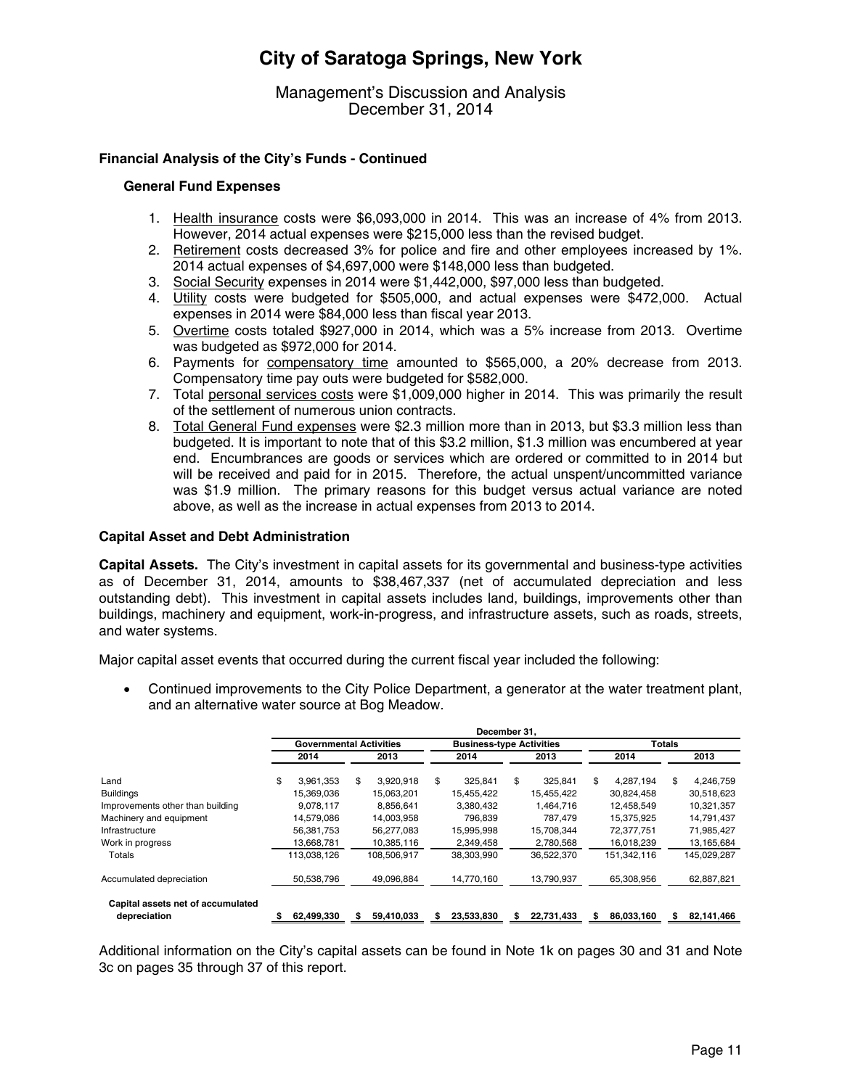The City's unfunded actuarial accrued OPEB liability could have a material adverse impact upon the City's finances and could force the City to reduce services, raise taxes or both.

Actuarial valuation will be required every 2 years for OPEB plans with more than 200 members, every 3 years if there are fewer than 200 members.

In April 2015, the State Comptroller announced legislation to create an optional investment pool to help the State and local governments fund retiree health insurance and other post-employment benefits. The proposed legislation would allow the following:

- Authorize the creation of irrevocable OPEB trusts, not part of the New York State Common Retirement Fund, so that New York state and its local governments can, at their option, help fund their OPEB liabilities;
- Establish an OPEB investment fund in the sole custody of the State Comptroller for the investment of OPEB assets of the state and participating eligible local governments;
- Designate the president of the Civil Service Commission as the trustee of the State's OPEB trust and the governing boards as trustee for local governments; and
- Allow school districts to transfer certain excess reserve balances to an OPEB trust once it is established.

Under the State Comptroller's proposal, there were no restrictions on the amount a government can deposit into the trust. The proposal for an optional investment pool for OPEB liability was not adopted in the last State legislative session.

#### **Other Information**

The statutory authority for the power to spend money for the objects or purposes or to accomplish the objects or purposes for which the Bonds are to be issued is the City Charter and the Local Finance Law.

No principal or interest upon any obligation of the City is past due.

The fiscal year of the City is the calendar year.

This Official Statement does not include the financial data of any political subdivision having power to levy taxes within the City.

#### **Financial Statements**

The City retains an independent certified public accountant firm for a continuous independent audit of all financial transactions of the City. The last such available final audit covers the fiscal year ending December 31, 2014 and may be found attached hereto as Appendix – C to this Official Statement. The financial affairs of the City are also subject to annual audits by the State Comptroller. Certain financial information of the City may be found in the Appendices to this Official Statement.

The City complies with the Uniform System of Accounts as prescribed for cities in New York State by the State Comptroller. This system differs from generally accepted accounting principles as prescribed by the American Institute of Certified Public Accountants' Industry Audit Guide, "Audits of State and Local Governmental Units", and codified in Government Accounting, Auditing and Financial Reporting (GAAFR), published by the Governmental Accounting Standards Board (GASB).

Beginning with the fiscal year ending December 31, 2003 the City is required to issue its financial statements in accordance with GASB Statement No. 34. This statement includes reporting of all assets including infrastructure and depreciation in the Government Wide Statement of Activities, as well as the Management's Discussion and Analysis.

## **New York State Comptroller Fiscal Stress Monitoring System**

The New York State Comptroller has reported that New York State's school districts and municipalities are facing significant fiscal challenges. As a result, the Office of the State Comptroller has developed a Fiscal Stress Monitoring System ("FSMS") to provide independent, objectively measured and quantifiable information to school district and municipal officials, taxpayers and policy makers regarding the various levels of fiscal stress under which the State's school districts and municipalities are operating.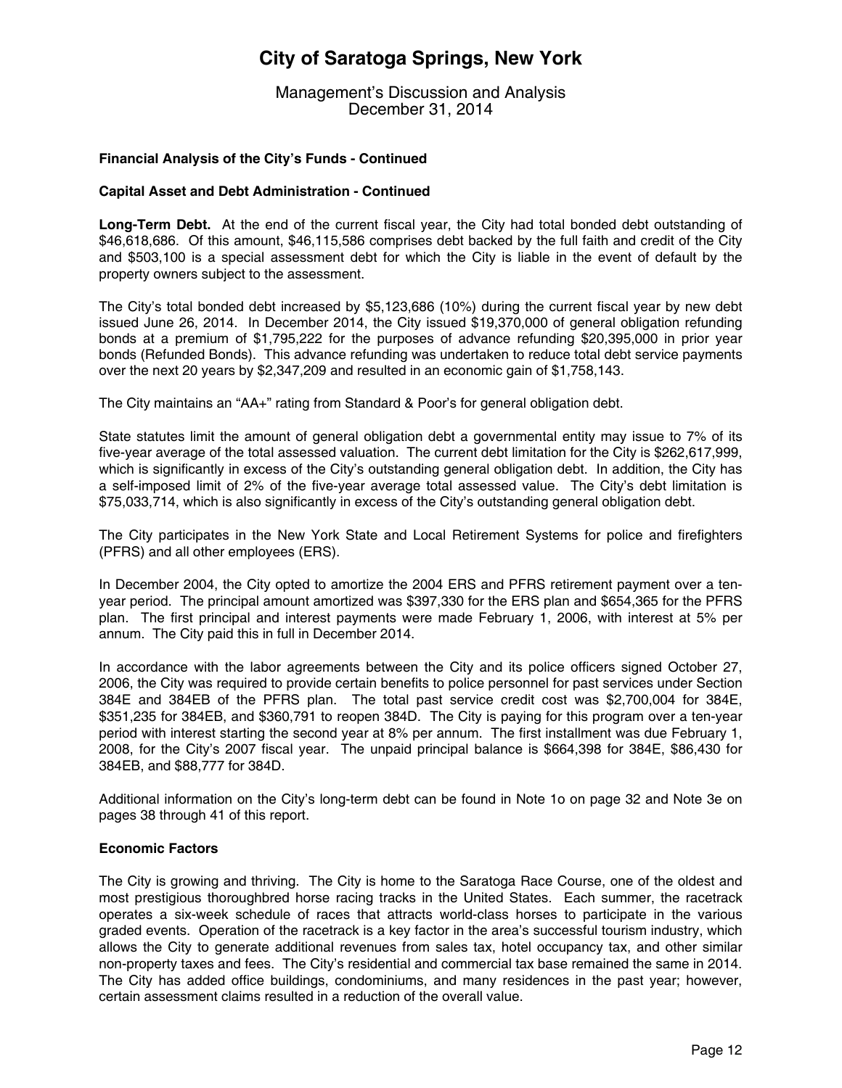The fiscal stress scores are based on financial information submitted as part of each school district's ST-3 report filed with the State Education Department annually and each municipality's annual report filed with the State Comptroller. Using financial indicators that include year-end fund balance, cash position and patterns of operating deficits, the system creates an overall fiscal stress score which classifies whether a school district or municipality is in "Significant Fiscal Stress", in "Moderate Fiscal Stress", as "Susceptible To Stress" or "No Designation". Entities that do not accumulate the number of points that would place them in a stress category will receive a financial score but will be classified in the category of "No Designation". This classification should not be interpreted to imply that the entity is completely free of stress conditions. Rather, the entity's financial information, when objectively scored according to the FSMS criteria, did not generate sufficient points to place it in one of the three established stress categories.

The most current applicable report at the website of the State Comptroller for fiscal year 2014 classified the City as "No Designation" (Fiscal Score: 6.3%).

Additional details regarding FSMS can be found at the website of the State Comptroller.

## **New York State Comptroller Report of Examination**

The New York State Comptroller's office released an audit report of the City on May 27, 2015. The purpose of the audit was to determine if local government officials' use of municipal resources resulted in an effective enforcement of the 2010 Fire Code of New York State (the "Fire Code") (i.e., fire safety of buildings) within their jurisdictions for the period January 1 through December 31, 2013.

Key Findings

- None of the municipalities fully complied with their Fire Code responsibilities. For example, officials from five municipalities (Hempstead, Lindenhurst, North Tonawanda, Plattsburgh and Poughkeepsie) did not review or approve fire safety or evacuation plans.
- Of the 96 buildings visited, 73 (76 percent) did not have a fire safety plan on file that met the minimum Fire Code requirements. Forty-four (46 percent) did not have an evacuation plan on file that complied with the Fire Code. Finally, 54 (56 percent) did not conduct the required number of evacuation drills.
- Five municipalities (Lindenhurst, Hempstead, North Tonawanda, Saratoga Springs and White Plains) did not submit their 2013 Uniform Code Administration and Enforcement Report to the New York State Department of State, as required.

**Key Recommendations** 

- Identify which buildings must have a fire plan and evacuation plan and ensure they have plans that meet the minimum Fire Code requirements.
- Review and approve all fire plans and evacuation plans in accordance with the Fire Code.
- Keep documented evidence detailing when fire plans and evacuation plans were reviewed and approved.

The City provided a complete response to the New York State Comptroller's office. A copy of the complete report can be found via the following link: http://www.osc.state.ny.us/localgov/audits/swr/2015/firesafety/global.pdf

Note: Reference to website implies no warranty of accuracy of information therein.

## **TAX INFORMATION**

## **Valuations**

| Fiscal Year Ending December 31:     | 2012             | 2013          |               | <u> 2014</u>  | 2015                | 2016             |
|-------------------------------------|------------------|---------------|---------------|---------------|---------------------|------------------|
| Assessed Valuations                 | 3.066.656.253    | 3,065,743,207 | -S            | 3.086.042.153 | \$ 3,104,158,047    | \$ 3.127.817.524 |
| New York State                      |                  |               |               |               |                     |                  |
| <b>Equalization Rate</b>            | 82.00%           | 82.00%        |               | 82.00%        | 80.00%              | 78.00%           |
| <b>Total Taxable Full Valuation</b> | \$ 3,739,824,699 | 3.738.711.228 | <sup>\$</sup> | 3.763.466.040 | \$<br>3.880.197.559 | 4.010.022.467    |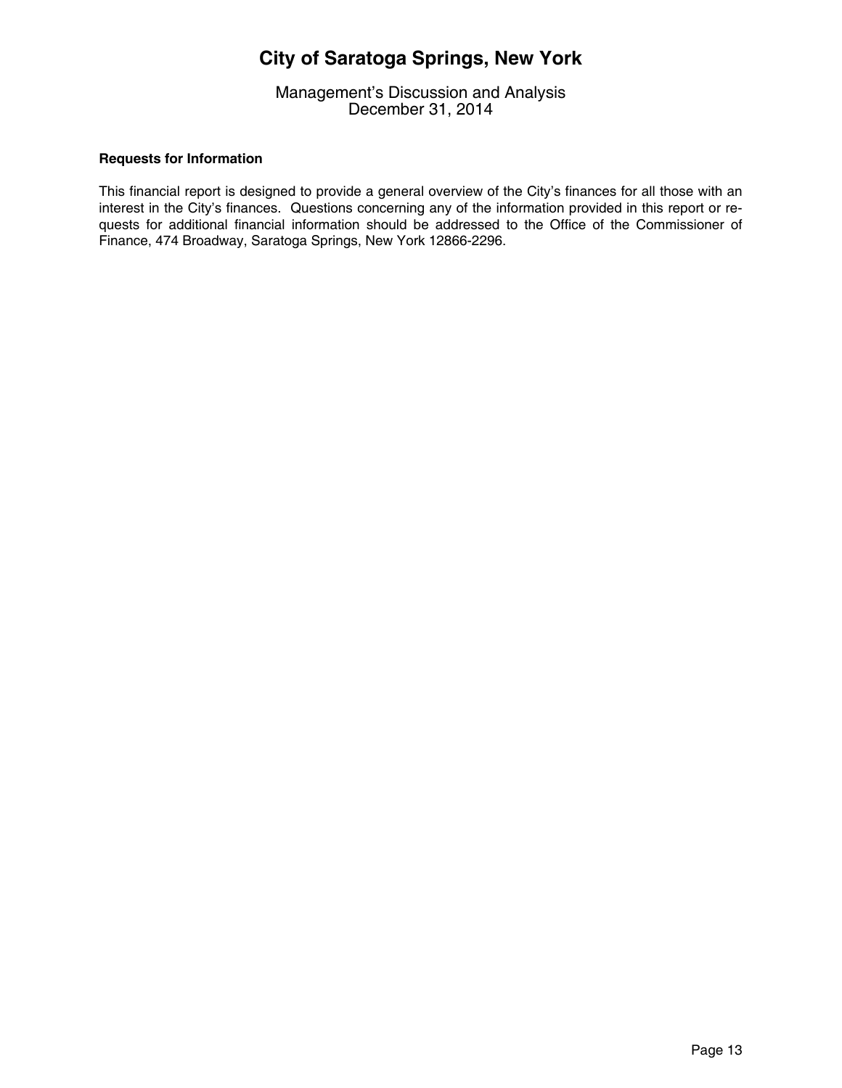#### **Tax Rate Per \$1,000 (Assessed)**

| Fiscal Year Ending December 31:<br>Inside Area<br>Outside Area | 2012<br>\$6.02<br>5.95 | 2013<br>\$6.02<br>5.95 |    | 2014<br>\$6.07<br>5.99 | 2015<br>\$6.07<br>5.99 | 2016<br>\$6.06<br>5.98 |
|----------------------------------------------------------------|------------------------|------------------------|----|------------------------|------------------------|------------------------|
| <b>Tax Levy and Collection Record</b>                          |                        |                        |    |                        |                        |                        |
| Fiscal Year Ending December 31:                                | 2012                   | 2013                   |    | 2014                   | 2015                   | 2016                   |
| \$<br>Total Tax Levy                                           | 29.844.116             | \$<br>29,731,170       | S. | 29,735,729             | \$<br>30,207,260       | \$<br>30,779,183       |
| Uncollected End of Year                                        | 1.744.784              | 1,677,105              |    | 1,733,092              | 27,938,143             | N/A                    |
| % Uncollected                                                  | 5.85%                  | 5.64%                  |    | 5.83%                  | 6.54%                  | N/A                    |

## **Tax Collection Procedure**

Property taxes attach as an enforceable lien on property as of October 1. Taxes are levied on January 1 and are payable in four installments on the first of March, June, September and December. The City bills and collects its own property taxes and also collects taxes for Saratoga County and the delinquent taxes for the Saratoga Springs City School District. City property tax revenues are recognized when levied to the extent that they result in current receivables.

County due dates are the same as City and are collected on one bill. Interest is added on City and County at a rate of 6%, the day after the due date for each quarter. It increases at a rate of 1.5% until it caps at 15%. A discount of 2.25% is offered to taxpayers paying the full year of City and County on or before March 1.

On October  $1<sup>st</sup>$  of each year, the City enforces the payment of all taxes and assessments (i.e., County, City, School) by tax sale.

The City only counts as tax revenue that part of total taxes and tax sales collected prior to March 1<sup>st</sup> of the ensuing year. Uncollected taxes, including tax sale receivables and property acquired for taxes, are fully reserved by deferred revenues and an allowance for doubtful receivables.

#### **Largest Taxpayers – 2015-16 Assessment Roll for 2016**

|                              |               | <b>Taxable Assessed</b>     |
|------------------------------|---------------|-----------------------------|
| <b>Name</b>                  | <b>Type</b>   | Valuation                   |
| <b>NYRA</b>                  | Race Track    | 57,175,000                  |
| National Grid                | Utility       | 42,042,995                  |
| Saratoga Harness             | Race Track    | 31,567,000                  |
| Saratoga Hotel Associates    | Hotel/Lodging | $22,121,960$ <sup>(1)</sup> |
| <b>Quad Graphics</b>         | Manufacturing | 17,206,400                  |
| <b>Eton Centers</b>          | Apt./Retail   | 15,702,120                  |
| Saratoga Retail Partners LLC | Retail        | 15, 124, 200                |
| Darley Stud Management LLC   | Farm          | 12,007,300                  |
| Turf Perillo Dev LLC         | Hotel         | 11,600,000                  |
| Saratoga Pelican Associates  | Hotel         | 10,060,800                  |

 $(1)$  In litigation to reduce assessment.

The ten largest taxpayers listed above have a total assessed valuation of \$234,607,775 which represents 7.5% of the City's tax base.

Source: City tax rolls.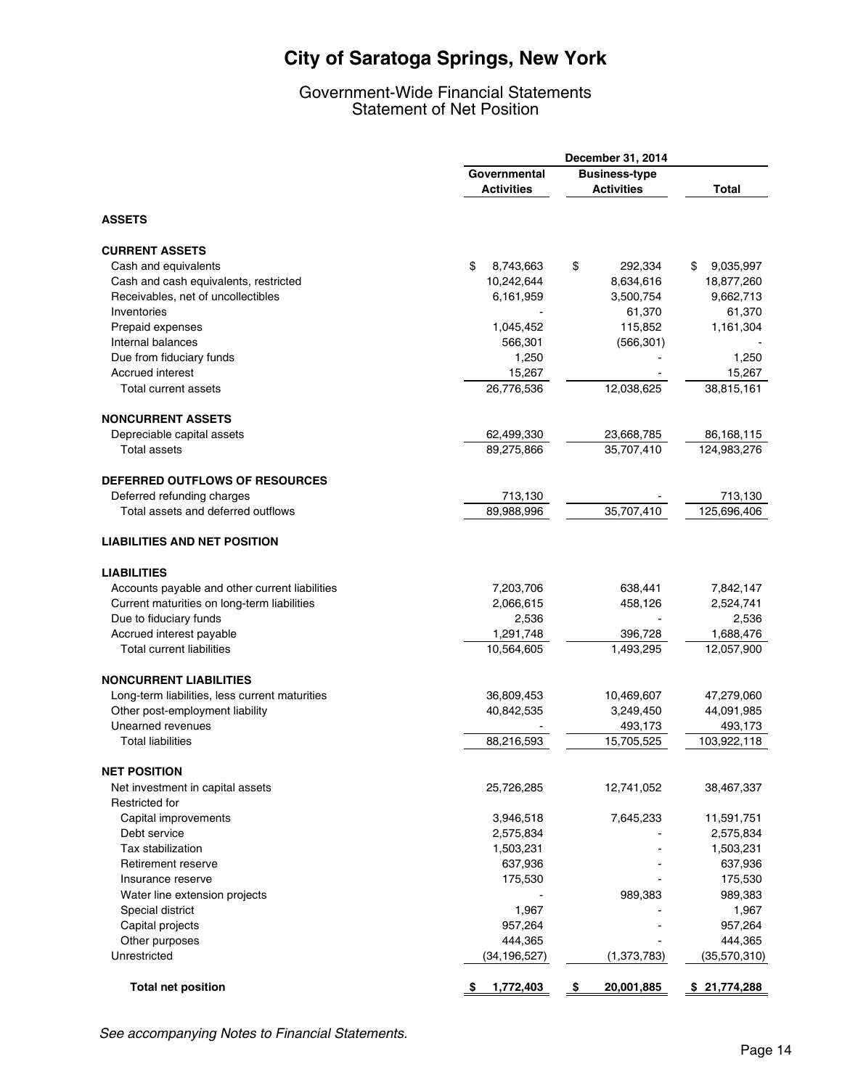#### **Constitutional Tax Margin**

Computation of Constitutional Tax Margin for fiscal years ending December 31, 2014 through 2016:

| Fiscal Year Ending December 31: | 2014          | 2015                |    | 2016          |
|---------------------------------|---------------|---------------------|----|---------------|
|                                 | 3,751,685,710 | \$<br>3,769,292,736 | S  | 3,825,752,181 |
|                                 | 75,033,714    | 75,385,855          |    | 76,515,044    |
|                                 | 2,289,799     | 2,460,645           |    | 2,819,015     |
|                                 | 77,323,513    | \$<br>77,846,500    | \$ | 79,334,059    |
|                                 | 18,661,564    | 18,725,016          |    | 18,841,113    |
|                                 | 58,661,949    | 59,121,484          |    | 60,492,946    |

Source: City officials.

## **Tax Levy Limitation Law**

On June 24, 2011, Chapter 97 of the 2011 Laws of New York was signed into law by the Governor (the "Tax Levy Limitation Law"). The Tax Levy Limitation Law applies to virtually all local governments, including school districts (with the exception of New York City, Yonkers, Syracuse, Rochester and Buffalo). It also applies to independent special districts and to town and county improvement districts as part of their parent municipalities' tax levies.

The Tax Levy Limitation Law restricts, among other things, the amount of real property taxes (including assessments of certain special improvement districts) that may be levied by or on behalf of a municipality in a particular year, beginning with fiscal years commencing on or after January 1, 2012. It expires on June 15, 2020 unless extended. Pursuant to the Tax Levy Limitation Law, the tax levy of a municipality cannot increase by more than the lesser of (i) two percent (2%) or (ii) the annual increase in the consumer price index ("CPI"), over the amount of the prior year's tax levy. Certain adjustments would be permitted for taxable real property full valuation increases due to changes in physical or quantity growth in the real property base as defined in Section 1220 of the Real Property Tax Law. A municipality may exceed the tax levy limitation for the coming fiscal year only if the governing body of such municipality first enacts, by at least a sixty percent (60%) vote of the total voting strength of such body, a local law (or resolution in the case of fire districts and certain special districts) to override such limitation for such coming fiscal year only. There are exceptions to the tax levy limitation provided in the Tax Levy Limitation Law, including expenditures made on account of certain tort settlements and certain increases in the average actuarial contribution rates of the New York State and Local Employees' Retirement System, the Police and Fire Retirement System and the Teachers' Retirement System. Municipalities are also permitted to carry forward a certain portion of their unused levy limitation from a prior year. Each municipality, prior to adoption of each fiscal year budget, must submit for review to the State Comptroller any information that is necessary in the calculation of its tax levy for each fiscal year.

The Tax Levy Limitation Law does not contain an exception from the tax levy limitation for the payment of debt service on either outstanding general obligation debt of municipalities or such debt incurred after the effective date of the tax levy limitation provisions.

While the Tax Levy Limitation Law may constrict an issuer's power to levy real property taxes for the payment of debt service on debt contracted after the effective date of the Tax Levy Limitation Law, it is clear that no statute is able (a) to limit an issuer's pledge of its faith and credit to the payment of any of its general obligation indebtedness or (b) to limit an issuer's levy of real property taxes to pay debt service on general obligation debt contracted prior to the effective date of the Tax Levy Limitation Law. Whether the Constitution grants a municipality authority to treat debt service payments as a constitutional exception to such statutory tax levy limitation outside of any statutorily determined tax levy amount is not clear.

**Real Property Tax Rebate.** Chapter 59 of the 2014 Laws of New York ("Chapter 59") includes provisions which provide a refundable personal income tax credit to real property taxpayers in school districts and certain municipal units of government. Real property owners in school districts are eligible for the tax credit in the 2014 and 2015 taxable years of those such property owners. Real property taxpayers in certain other municipal units of government are eligible for the tax credit in the 2015 and 2016 taxable years of those real property taxpayers. The eligibility of real property taxpayers for the tax credit in each year depends on such jurisdiction's compliance with the provisions of the Tax Levy Limitation Law. School district budgets must comply in their 2014-2015 and 2015-2016 fiscal years. Other municipal units of government must have their budgets in compliance for their 2015 and 2016 fiscal years. Such budgets must be within the tax cap limits set by the Tax Levy Limitation Law for the real property taxpayers to be eligible for the tax credit. The affected jurisdictions include counties, cities (other than a city with a population of one million or more and its counties), towns, villages, school districts (other than the dependent school districts of New York City, Buffalo, Rochester, Syracuse and Yonkers, the latter four of which are indirectly affected by applicability to their respective city) and independent special districts.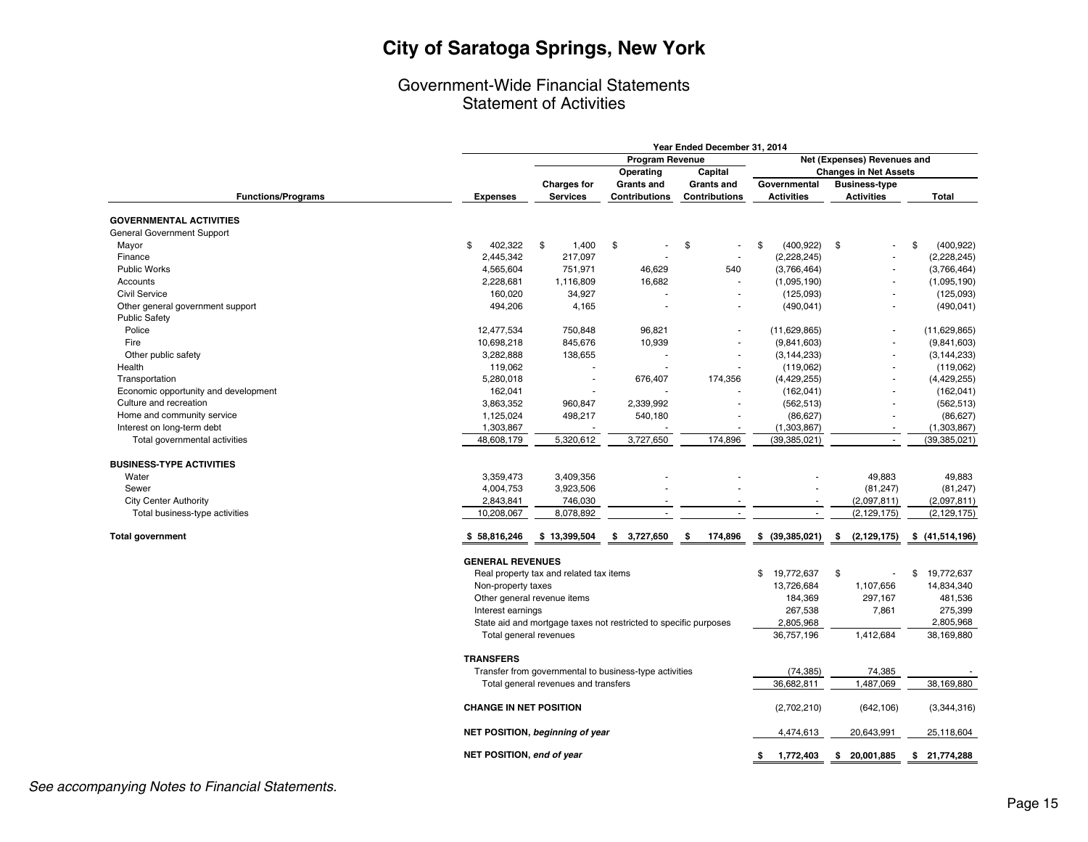Certain additional restrictions on the amount of the tax credit are set forth in Chapter 59 in order for the tax cap to qualify as one which will provide the tax credit benefit to such real property taxpayers. The tax credit amount is increased in the second year if compliance occurs in both taxable years.

For the second taxable year of the program, the tax credit for real property taxpayers is additionally contingent upon adoption by the school district or municipal unit of government of a state approved "government efficiency plan" which demonstrates "three year savings and efficiencies of at least one per cent per year from shared services, cooperation agreements and/or mergers or efficiencies".

Municipalities and school districts must provide certification of compliance with the requirements of the new provisions to certain state officials in order to render their real property taxpayers eligible for the tax credit.

While the provisions of Chapter 59 do not directly further restrict the taxing power of the affected school districts and municipal units of government, they do provide an incentive for such tax levies to remain within the tax cap limits established by the Tax Levy Limitation Law. The implications of this for future tax levies and for operations and services of the City are uncertain at this time.

#### **CITY INDEBTEDNESS**

#### **Constitutional Requirements**

The New York State Constitution limits the power of the City (and other municipalities and certain school districts of the State) to issue obligations and to otherwise contract indebtedness. Such constitutional limitations in summary form, and as generally applicable to the City and the Bonds include the following:

*Purpose and Pledge*. Subject to certain enumerated exceptions, the City shall not give or loan any money or property to or in aid of any individual or private corporation or private undertaking or give or loan its credit to or in aid of any of the foregoing or any public corporation.

The City may contract indebtedness only for a City purpose and shall pledge its faith and credit for the payment of principal of and interest thereon.

*Payment and Maturity*. Except for certain short-term indebtedness contracted in anticipation of taxes or to be paid within three fiscal year periods, indebtedness shall be paid in annual installments commencing no later than two years after the date such indebtedness shall have been contracted and ending no later than the expiration of the period of probable usefulness of the object or purpose as determined by statute; unless substantially level or declining annual debt service is utilized, no installment may be more than fifty per centum in excess of the smallest prior installment. The City is required to provide an annual appropriation for the payment of interest due during the year on its indebtedness and for the amounts required in such year for amortization and redemption of its serial bonds and such required annual installments on its notes.

*Debt Limit*. The City has the power to contract indebtedness for any City purpose so long as the principal amount thereof, subject to certain limited exceptions, shall not exceed seven per centum of the average full valuation of taxable real estate of the City and subject to certain enumerated exclusions and deductions such as water and certain sewer facilities and cash or appropriations for current debt service. The constitutional method for determining full valuation is by taking the assessed valuation of taxable real estate as shown upon the latest completed assessment roll and dividing the same by the equalization rate as determined by the State Office of Real Property Services. The State Legislature is required to prescribe the manner by which such ratio shall be determined. Average full valuation is determined by taking the sum of the full valuation of the last completed assessment roll and the four preceding assessment rolls and dividing such sum by five.

The City Charter requires approval by voter referendum when long term bonding exceeds 2% of the average full valuation of taxable real estate of the City. The debt limit at 2%, as imposed by the City for fiscal year ending December 31, 2016, is \$76,515,044.

#### **Statutory Procedure**

In general, the State Legislature has authorized the power and procedure for the City to borrow and incur indebtedness by the enactment of the Local Finance Law subject, of course, to the provisions set forth above. The power to spend money, however, generally derives from other law, including specifically the City Charter and the General Municipal Law.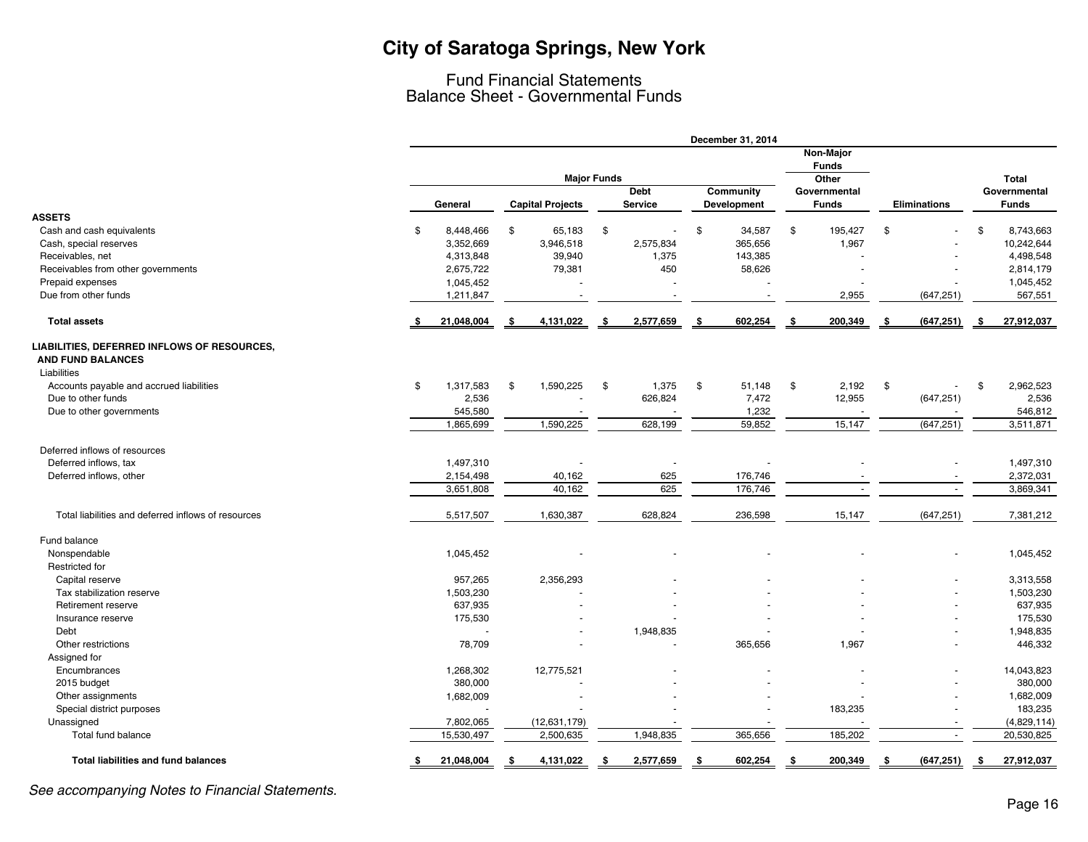Pursuant to the Local Finance Law and its Charter, the City authorizes the issuance of bonds by the adoption of a bond resolution approved by at least two-thirds of the members of the City Council, the finance board of the City. Customarily, the City Council has delegated to the Commissioner of Finance, as chief fiscal officer of the City, the power to authorize and sell bond anticipation notes in anticipation of authorized bonds.

The Local Finance Law also provides that where a bond resolution is published with a statutory form of notice, the validity of the bonds authorized thereby, including bond anticipation notes issued in anticipation of the sale thereof, may be contested only if:

- (1) Such obligations are authorized for a purpose for which the City is not authorized to expend money, or
- (2) There has not been substantial compliance with the provisions of law which should have been complied with in the authorization of such obligations and an action contesting such validity is commenced within twenty days after the date of such publication, or,
- (3) Such obligations are authorized in violation of the provisions of the Constitution.

Except on rare occasions the City complies with this estoppel procedure. It is a procedure that is recommended by Bond Counsel, but it is not an absolute legal requirement. The City has complied with this estoppel procedure in connection with the issuance of the Bonds.

Each bond resolution usually authorizes the construction, acquisition or installation of the object or purpose to be financed, sets forth the plan of financing and specifies the maximum maturity of the bonds subject to the legal (Constitution, Local Finance Law and case law) restrictions relating to the period of probable usefulness with respect thereto. The City has authorized bonds for a variety of City objects or purposes.

Statutory law in New York permits bond anticipation notes to be renewed each year provided annual principal installments are made in reduction of the total amount of such notes outstanding, commencing no later than two years from the date of the first of such notes and provided that such renewals do not exceed five years beyond the original date of borrowing. (See "Payment and Maturity" under "Constitutional Requirements" herein).

In general, the Local Finance Law contains provisions providing the City with power to issue certain other short-term general obligation indebtedness including revenue and tax anticipation notes and budget notes (see "Details of Outstanding Indebtedness" herein).

## **Debt Outstanding End of Fiscal Year**

| Fiscal Years Ending December 31: | 2011          | 2012         | 2013         | 2014         | <u> 2015</u> |
|----------------------------------|---------------|--------------|--------------|--------------|--------------|
| <b>Bonds</b>                     | \$ 36,736,200 | \$42,135,687 | \$44,423,499 | \$46.618.686 | \$50,523,242 |
| <b>Bond Anticipation Notes</b>   |               |              |              |              |              |
| Totals                           | \$36.736.200  | \$42,135,687 | \$44,423,499 | \$46.618.686 | \$50,523,242 |

## **Details of Outstanding Indebtedness**

The following table sets forth the indebtedness of the City as of May 25, 2016.

| Type of Indebtedness | Maturity                  | Amount     |
|----------------------|---------------------------|------------|
| <b>Bonds</b>         | 2016-2040                 | 49.428.242 |
|                      | <b>Total Indebtedness</b> | 49.428.242 |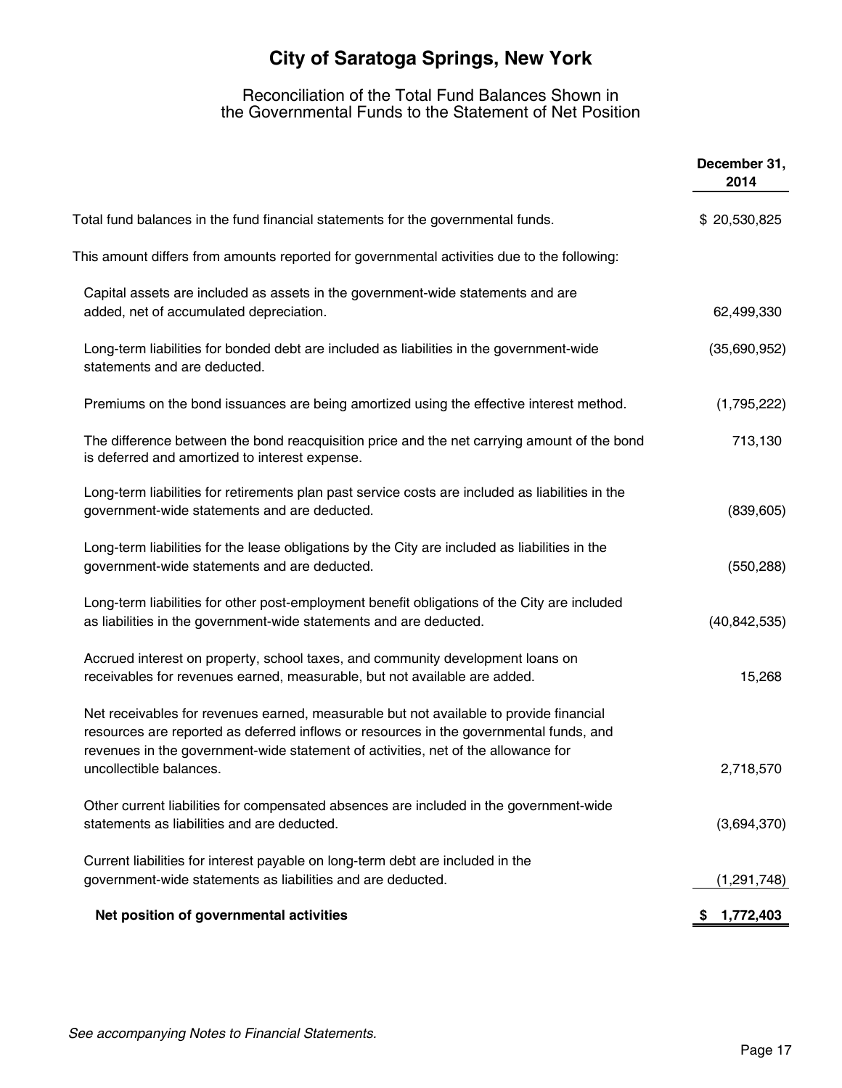#### **Debt Statement Summary**

Summary of Indebtedness, Debt Limit and Net Debt-Contracting Margin evidenced by bonds and notes as of May 25, 2016:

| Inclusions: |              |        |
|-------------|--------------|--------|
|             |              |        |
|             |              |        |
|             | \$49,428,242 |        |
| Exclusions: |              |        |
|             |              |        |
|             |              |        |
|             |              |        |
|             | \$13,077,495 |        |
|             |              |        |
|             |              |        |
|             |              | 13.57% |
|             |              |        |

Note: The issuance of the Bonds will increase the net indebtedness of the City by \$3,029,324.

<sup>(1)</sup> The City Charter requires approval by voter referendum when long term bonding exceeds 2% of the average full valuation of taxable real estate of the City. The debt limit at 2%, as imposed by the City for fiscal year ending December 31, 2016, is \$76,515,044.

<sup>(2)</sup> Sewer Debt is excluded pursuant to Section 124.10 of the Local Finance Law. The City has been granted sewer debt exclusions by the New York State Office of the State Comptroller.

<sup>(3)</sup> Water Debt is excluded pursuant to Article VIII, Section 5B of the New York State Constitution.

#### **Other Obligations**

On March 7, 2008, the City entered into a lease agreement in the amount of \$1,721,297 to finance the purchase and installation of energy management equipment. The rate of interest on the first \$1,000,000 is 2%, which was bought down by a New York State Energy Research and Development Authority ("NYSERDA") grant. On December 14, 2012, the City issued a statutory installment bond in the amount of \$555,304 to refinance the portion of the lease not subsidized by NYSERDA. Principal payments of \$47,399 were made during 2015. The principal balance remaining on the lease as of December 31, 2015 is \$502,889.

#### **Cash Flow Borrowings**

Historically, the City does not issue revenue anticipation notes or tax anticipation notes.

No revenue anticipation notes or tax anticipation notes were issued in 2015 nor have they been issued to date in 2016.

#### **Bonded Debt Service**

A schedule of Bonded Debt Service, including principal of the Bonds, may be found in Appendix - B to this Official Statement.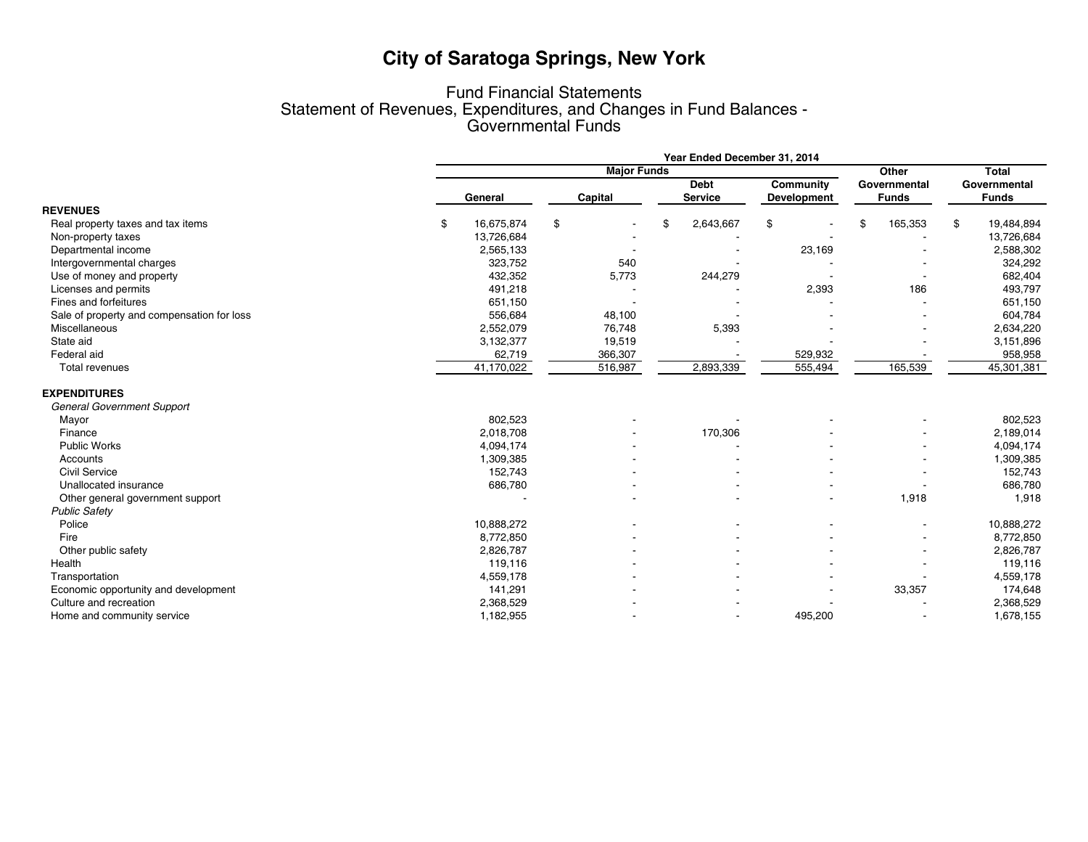## **Capital Improvement Program Summary**

The City has a Capital Improvement Program which covers six years. It provides a financial plan through which borrowing can be organized and scheduled and debt service impacts on future annual operating budgets can be predicted.

|                                                   | 2016        | 2017        | 2018      | 2019      | 2020      | 2021      | <b>Total</b> |
|---------------------------------------------------|-------------|-------------|-----------|-----------|-----------|-----------|--------------|
|                                                   |             |             |           |           |           |           | Program      |
| <b>Mayor's Department</b>                         |             |             |           |           |           |           |              |
| Waterfront Park Redevelopment                     | \$120,000   |             |           |           |           |           | \$120,000    |
| Pitney Farm                                       | \$1,165,000 |             |           |           |           |           | \$1,165,000  |
| <b>Mayor's Department Total</b>                   | \$1,285,000 |             |           |           |           |           | \$1,285,000  |
| <b>Community &amp; Economic Development</b>       |             |             |           |           |           |           |              |
| City Way Finding Program                          | \$100,000   |             |           |           |           |           | \$100,000    |
| Complete Streets/Greenbelt Trail                  | \$100,000   |             |           |           |           |           | \$100,000    |
| Implementation                                    |             |             |           |           |           |           |              |
| <b>Community &amp; Economic Development Total</b> | \$200,000   |             |           |           |           |           | \$200,000    |
| <b>Public Works Department</b>                    |             |             |           |           |           |           |              |
| Landfill at Weible Avenue                         | \$1,000,000 |             |           |           |           |           | \$1,000,000  |
| Saratoga Arts Council Foundation Drainage         | \$327,000   |             |           |           |           |           | \$327,000    |
| Gallery & Theatre Entrance                        |             |             |           |           |           |           |              |
| Sewer Jet Machine                                 | \$252,000   |             |           |           |           |           | \$252,000    |
| Dump Truck w/ Plow and Spreader (replace          | \$174,000   |             |           |           |           |           | \$174,000    |
| #11)                                              |             |             |           |           |           |           |              |
| City Buildings and Facilities Repairs and         | \$300,000   | \$200,000   | \$200,000 | \$200,000 | \$200,000 | \$200,000 | \$1,300,000  |
| Upgrades                                          |             |             |           |           |           |           |              |
| Chassis Cab with Boom (International; replace     | \$137,000   |             |           |           |           |           | \$137,000    |
|                                                   |             |             |           |           |           |           |              |
| #29)                                              | \$350,000   | \$300,000   | \$300,000 | \$300,000 | \$300,000 | \$300,000 | \$1,850,000  |
| Canfield Casino Rehabilitation Program            |             |             |           |           |           |           |              |
| Ice Resurfacer Machine (Zamboni)                  | \$134,958   |             |           |           |           |           | \$134,958    |
| Dump Truck w/ Plow and Spreader                   | \$89,000    |             |           |           |           |           | \$89,000     |
| (International; replace #38)                      |             |             |           |           |           |           |              |
| Loader/Tool Carrier Machine (replace #51)         | \$162,000   |             |           |           |           |           | \$162,000    |
| East Side Storm Water Project Phase II, III, IV,  | \$250,000   | \$250,000   | \$250,000 | \$250,000 |           |           | \$1,000,000  |
| V                                                 |             |             |           |           |           |           |              |
| Dump Truck w/ Plow (replace #17)                  |             | \$174,000   |           |           |           |           | \$174,000    |
| Dump Truck (International; replace #8)            |             | \$89,000    |           |           |           |           | \$89,000     |
| Katrina Trask Stairway in Congress Park           |             | \$90,000    | \$60,000  |           |           |           | \$150,000    |
| Waste Water Pump Stations Annual Upgrades         |             | \$650,000   | \$200,000 | \$200,000 | \$200,000 | \$200,000 | \$1,450,000  |
| (Sewer)                                           |             |             |           |           |           |           |              |
| Infrastructure Improvement and Replacement        |             | \$1,200,000 | \$350,000 | \$350,000 | \$350,000 | \$350,000 | \$2,600,000  |
| Project (Water)                                   |             |             |           |           |           |           |              |
| Water Treatment Plant Pole Barn for Water         |             | \$570,000   |           |           |           |           | \$570,000    |
| Tanks                                             |             |             |           |           |           |           |              |
| OCA Required Courtroom Part B (Construction)      |             | \$2,000,000 |           |           |           |           | \$2,000,000  |
| Spider Slope Lawn Mower                           |             | \$35,000    |           |           |           |           | \$35,000     |
| Old Ballston Avenue Culvert Replacement           |             | \$165,000   |           |           |           |           | \$165,000    |
| Project                                           |             |             |           |           |           |           |              |
| Leaf Machine (Smithco; new)                       |             |             |           |           |           |           |              |
| Dump Truck w/ Plow and Spreader (replace #        |             | \$174,000   |           |           |           |           | \$174,000    |
| 34)                                               |             |             |           |           |           |           |              |
| Dump Truck w/ Plow and Spreader (replace          |             | \$174,000   |           |           |           |           | \$174,000    |
| #42)                                              |             |             |           |           |           |           |              |
| Dump Truck w/ Plow and Spreader (replace an       |             | \$174,000   |           |           |           |           | \$174,000    |
| <b>International Dump Truck)</b>                  |             |             |           |           |           |           |              |
| Dump Truck w/ Plow and Spreader (replace          |             |             | \$174,000 |           |           |           | \$174,000    |
| #13)                                              |             |             |           |           |           |           |              |
| Dump Truck w/ Plow and Spreader (replace          |             |             | \$174,000 |           |           |           | \$174,000    |
| #63)                                              |             |             |           |           |           |           |              |
| Dump Truck w/ Plow and Spreader (replace          |             |             |           | \$174,000 |           |           | \$174,000    |
| #70)                                              |             |             |           |           |           |           |              |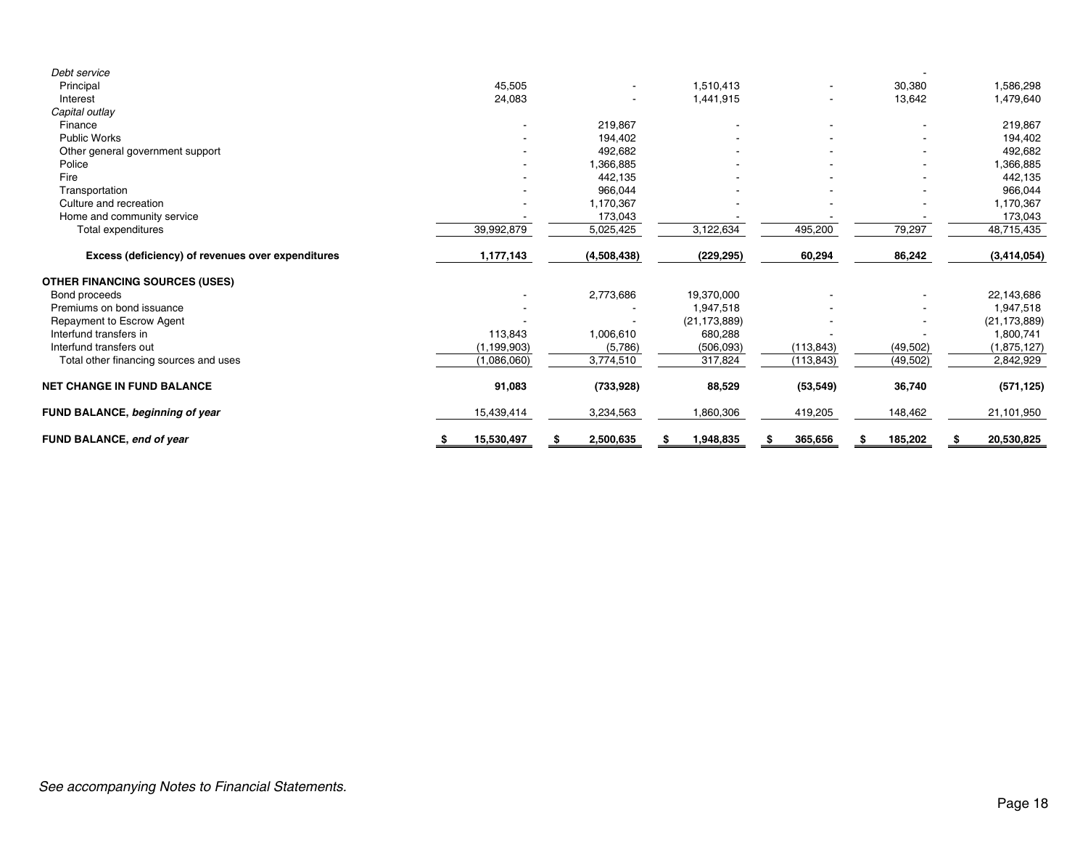| Dump Truck w/ Plow and Spreader (replace         |             |              |             | \$174,000   |             |             | \$174,000            |
|--------------------------------------------------|-------------|--------------|-------------|-------------|-------------|-------------|----------------------|
| #59)                                             |             |              |             |             |             |             |                      |
| Dump Truck w/ Plow and Spreader (replace<br>#58) |             |              |             | \$174,000   |             |             | \$174,000            |
| Dump Truck w/ Plow and Spreader (replace<br>#16) |             |              |             |             | \$174,000   |             | \$174,000            |
| Dump Truck w/ Plow and Spreader (replace an      |             |              |             |             | \$174,000   |             | \$174,000            |
| <b>International Dump Truck)</b>                 |             |              |             |             |             |             |                      |
| Loader/Tool Carrier Machine (replace #x, as      |             |              |             |             |             | \$162,000   | \$162,000            |
| needed))                                         |             |              |             |             |             |             |                      |
| <b>Public Works Department Total</b>             | \$3,175,958 | \$6,245,000  | \$1,708,000 | \$1,822,000 | \$1,398,000 | \$1,212,000 | \$15,560,958         |
| <b>PUBLIC SAFETY DEPT</b>                        |             |              |             |             |             |             |                      |
| Road Striping Truck Replacement                  | \$178,218   |              |             |             |             |             | \$178,218            |
| Arial Bucket Truck Replacement                   |             | \$140,999    |             |             |             |             | \$140,999            |
| <b>Public Saftey Department Total</b>            |             |              |             |             |             |             |                      |
| <b>Police Department</b>                         | \$178,218   | \$140,999    |             |             |             |             | \$319,217            |
| SS Police Dept 911 System                        | \$202,100   |              |             |             |             |             | \$202,100            |
| <b>Police Department Total</b>                   | \$202,100   |              |             |             |             |             | \$202,100            |
| <b>Fire Department</b>                           |             |              |             |             |             |             |                      |
| Ambulance                                        | \$165,000   |              |             |             |             |             | \$165,000            |
| <b>Stryker Powered Stretcher Ambulance</b>       | \$58,037    |              |             |             |             |             | \$58,037             |
| <b>Station 1 Doors</b>                           |             | \$169,550    |             |             |             |             | \$169,550            |
| East Side Fire and EMS Facility                  |             | \$3,000,000  |             |             |             |             | \$3,000,000          |
| <b>Fire Department Total</b>                     | \$223,037   | \$3,169,550  |             |             |             |             | \$3,392,587          |
| PUBLIC SAFETY DEPT. TOTAL                        | \$603,355   | \$3,310,549  |             |             |             |             | \$3,913,904          |
| <b>ACCOUNTS DEPARTMENT</b>                       |             |              |             |             |             |             |                      |
| Security System Infrastructure                   | \$55,011    |              |             |             |             |             | \$55,011             |
|                                                  |             |              |             |             |             |             |                      |
| <b>Culture and Recreation Department</b>         |             |              |             |             |             |             |                      |
| Playgrounds and Facilities                       | \$500,000   | \$325,000    |             |             |             |             | \$825,000            |
| <b>Skate Park</b>                                | \$19,770    |              |             | \$40,000    |             |             | \$19,770             |
| East Side and West Side Rec Improvements         | \$35,000    | \$35,000     | \$35,000    |             | \$40,000    | \$40,000    | \$225,000            |
| New Recreation Field                             |             | \$1,550,000  | \$200,000   |             |             |             | \$1,750,000          |
| <b>Field Rehabilitation</b>                      |             | \$95,256     |             | \$31,810    |             |             | \$95,256<br>\$31,810 |
| Veterans Memorial Park - Backstop                |             |              |             |             |             |             |                      |
| <b>Culture and Recreation Department Total</b>   | \$554,770   | \$2,005,256  | \$235,000   | \$71,810    | \$40,000    | \$40,000    | \$2,946,836          |
|                                                  |             |              |             |             |             |             |                      |
| <b>TOTAL PROJECTS</b>                            | \$5,874,094 | \$11,560,805 | \$1,943,000 | \$1,893,810 | \$1,438,000 | \$1,252,000 | \$23,961,709         |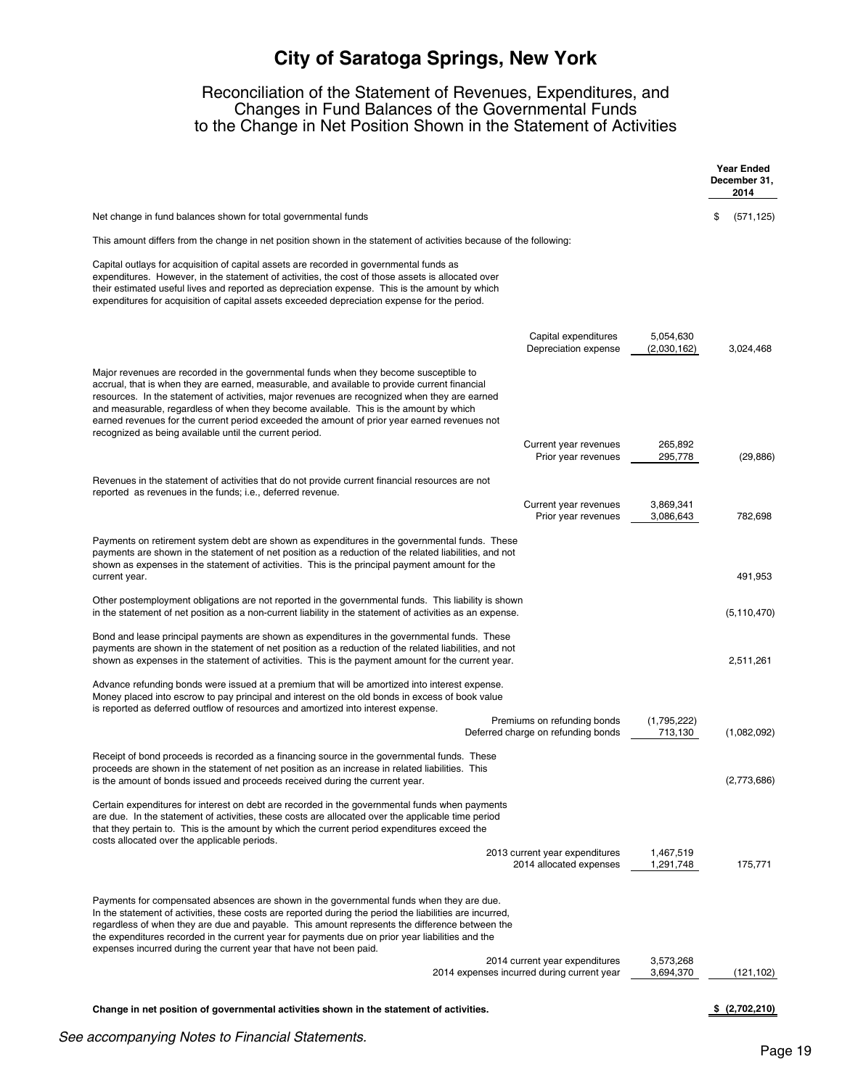#### **Estimated Overlapping Indebtedness**

In addition to the City, the following political subdivisions have the power to issue bonds and to levy taxes or cause taxes to be levied on taxable real property in the City. Estimated bonds and bond anticipation notes are listed as of the close of the 2014 fiscal year of the respective municipalities.

|                  | Status of  | Gross                        | Estimated  |                            | Net              | District     |    | Applicable   |
|------------------|------------|------------------------------|------------|----------------------------|------------------|--------------|----|--------------|
| Municipality     | Debt as of | $Indebtednes$ <sup>(1)</sup> | Exclusions |                            | Indebtedness     | <b>Share</b> |    | Indebtedness |
| County of:       |            |                              |            |                            |                  |              |    |              |
| Saratoga         | 12/31/2014 | \$<br>73,890,000             | \$         | (2)<br>$\omega_{\rm{eff}}$ | 73,890,000<br>\$ | 16.97%       | S. | 12,539,133   |
| School District: |            |                              |            |                            |                  |              |    |              |
| Saratoga Springs | 6/30/2014  | 38,205,000                   |            | (3)<br>26,934,525          | 11.270.475       | 61.89%       |    | 6,975,297    |
|                  |            |                              |            |                            |                  | Total:       |    | 19.514.430   |

(1) Pursuant to applicable constitutional and statutory provisions, this indebtedness is deductible from gross indebtedness for debt limit purposes.

 $\overline{(\text{3})}$  Appropriations.

Estimated State building aid.

Source: State Comptroller's Special Report on Municipal Affairs for Local Finance Years Ended in 2014.

Note: The 2015 Comptroller's Special Report is currently unavailable as of the date of this Official Statement.

#### **Debt Ratios**

The following table sets forth certain ratios related to the City's indebtedness as of May 25, 2016:

|                                                               |               |                                    | Percentage               |
|---------------------------------------------------------------|---------------|------------------------------------|--------------------------|
|                                                               | Amount of     | Per                                | of Full                  |
|                                                               | Indebtedness  | Capita <sup><math>(a)</math></sup> | Valuation <sup>(b)</sup> |
| Net Direct Indebtedness <sup>(c)</sup><br>Net Direct Plus Net | \$ 36,350,747 | \$1,324.93                         | 0.95%                    |
| Overlapping Indebtedness <sup>(d)</sup>                       | 55,865,177    | 2,036.20                           | 1.46%                    |

Note: <sup>(a)</sup> The City's 2014 population is 27,436. (See "Population Trends" herein.)

(b) The City's five year average full valuation of taxable real estate is \$3,826,444,398.

(c) See "Debt Statement Summary" herein.

(d) The City's applicable share of net overlapping indebtedness is \$19,514,430. (See "Estimated Overlapping Indebtedness" herein).

## **SPECIAL PROVISIONS AFFECTING REMEDIES UPON DEFAULT**

Section 3-a of the General Municipal Law provides, subject to exceptions not pertinent, that the rate of interest to be paid by the City upon any judgment or accrued claim against it shall not exceed nine per centum per annum. This provision might be construed to have application to the holders of the Bonds in the event of a default in the payment of the principal of or interest on the Bonds.

In accordance with the general rule with respect to municipalities, judgments against the City may not be enforced by levy and execution against property owned by the City.

The Federal Bankruptcy Code allows public bodies recourse to the protection of a Federal Court for the purpose of adjusting outstanding indebtedness. Section 85.80 of the Local Finance Law contains specific authorization for any municipality in the State to file a petition under any provision of Federal bankruptcy law for the composition or adjustment of municipal indebtedness.

At the Extraordinary Session of the State Legislature held in November, 1975, legislation was enacted which purported to suspend the right to commence or continue an action in any court to collect or enforce certain short-term obligations of The City of New York. The effect of such act was to create a three-year moratorium on actions to enforce the payment of such obligations. On November 19, 1976, the Court of Appeals, the State's highest court, declared such act to be invalid on the ground that it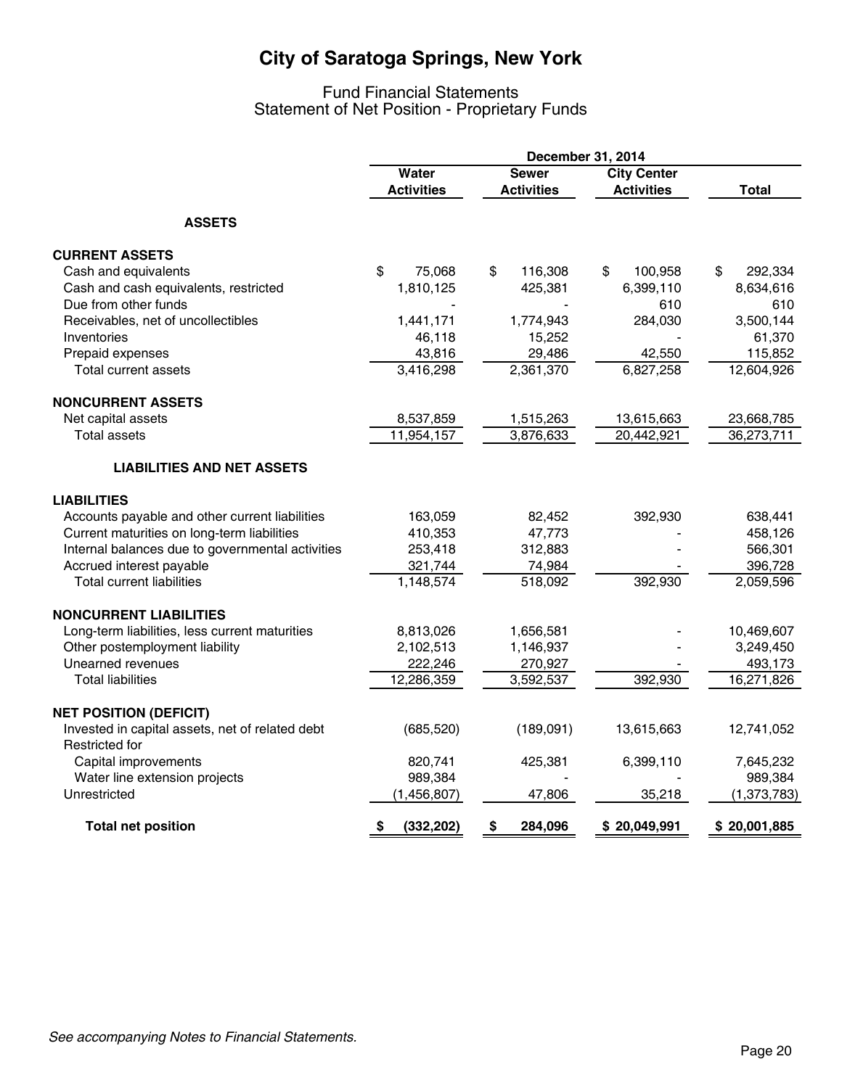violates the provisions of the State Constitution requiring a pledge by such City of its faith and credit for the payment of such obligations.

As a result of the Court of Appeals decision, the constitutionality of that portion of Title 6-A of Article 2 of the Local Finance Law enacted at the 1975 Extraordinary Session of the State legislature authorizing any county, city, town or village with respect to which the State has declared a financial emergency to petition the State Supreme Court to stay the enforcement against such municipality of any claim for payment relating to any contract, debt or obligation of the municipality during the emergency period, is subject to doubt. In any event, no such emergency has been declared with respect to the City.

There is in the Constitution of the State, Article VIII, Section 2, the following provision relating to the annual appropriation of monies for the payment of due principal of and interest on indebtedness of every county, city, town, village and school district in the State: "If at any time the respective appropriating authorities shall fail to make such appropriations, a sufficient sum shall be set apart from the first revenues thereafter received and shall be applied to such purposes. The fiscal officer of any county, city, town, village or school district may be required to set aside and apply such revenues as aforesaid at the suit of any holder of obligations issued for any such indebtedness."

The Constitutional provision providing for first revenue set asides does not apply to tax anticipation notes, revenue anticipation notes or bond anticipation notes.

## **CONTINUING DISCLOSURE UNDERTAKING**

In accordance with the requirements of Rule 15c2-12 (the "Rule"), as the same may be amended or officially interpreted from time to time, promulgated by the Securities and Exchange Commission (the "Commission"), the City has agreed to provide, or cause to be provided,

- (i) during each fiscal year in which the Bonds are outstanding, to the Electronic Municipal Market Access ("EMMA") system of the Municipal Securities Rulemaking Board or any other entity designated or authorized by the Commission to receive reports pursuant to the Rule, certain annual financial information and operating data for the preceding fiscal year in a form generally consistent with the information contained or crossreferenced in this Official Statement under the headings "The City", "Tax Information", "City Indebtedness" and "Litigation" and in all Appendices (other than any related to bond insurance) and a copy of the audited financial statement (prepared in accordance with generally accepted accounting principles in effect at the time of audit) for the preceding fiscal year, if any; such information, data and audit, if any, will be so provided on or prior to the later of either the end of the sixth month of each such succeeding fiscal year or, if audited financial statements are prepared, sixty days following receipt by the City of audited financial statements for the preceding fiscal year, but, in no event, not later than the last business day of each such succeeding fiscal year.
- (ii) in a timely manner not in excess of ten (10) business days after the occurrence of the event, during the period in which the Bonds are outstanding, to EMMA or any other entity designated or authorized by the Commission to receive reports pursuant to the Rule, notice of the occurrence of any of the following events with respect to the Bonds:
	- (a) principal and interest payment delinquencies
	- (b) non-payment related defaults, if material
	- (c) unscheduled draws on debt service reserves reflecting financial difficulties
	- (d) in the case of credit enhancement, if any, provided in connection with the issuance of the Bonds, unscheduled draws on credit enhancements reflecting financial difficulties
	- (e) substitution of credit or liquidity providers, or their failure to perform
	- (f) adverse tax opinions, the issuance by the Internal Revenue Service of proposed or final determinations of taxability, Notices of Proposed Issue (IRS Form 5701 TEB) or other material notices or determinations with respect to the tax status of the Bonds, or other material events affecting the tax- status of the Bonds
	- (g) modifications to rights of Bondholders, if material
	- (h) bond calls, if material and tender offers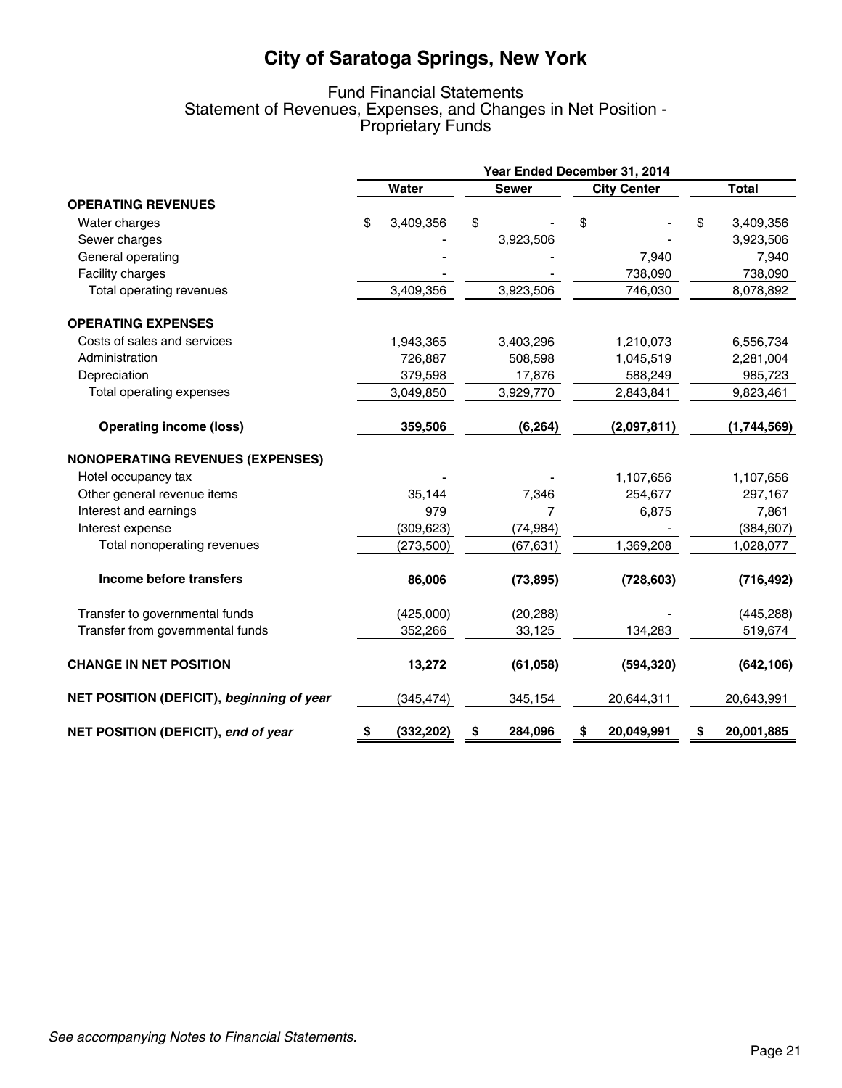- (i) defeasances
- (j) release, substitution, or sale of property securing repayment of the Bonds
- (k) rating changes
- (l) bankruptcy, insolvency, receivership or similar event of the City
- (m) the consummation of a merger, consolidation, or acquisition involving the City or the sale of all or substantially all of the assets of the City, other than in the ordinary course of business, the entry into a definitive agreement to undertake such an action or the termination of a definitive agreement relating to any such actions, other than pursuant to its terms, if material
- (n) appointment of a successor or additional trustee or the change of name of a trustee, if material

Event (c) is included pursuant to a letter from the Commission staff to the National Association of Bond Lawyers dated September 19, 1995. Event (c) is not applicable, however, since no "debt service reserves" will be established for the Bonds.

With respect to event (d), the City does not undertake to provide any notice with respect to credit enhancement added after the primary offering of the Bonds.

With respect to event (l), the event is considered to occur when any of the following occur: the appointment of a receiver, fiscal agent or similar officer for the City in a proceeding under the U.S. Bankruptcy Code or in any other proceeding under state or federal law in which a court or governmental authority has assumed jurisdiction over substantially all of the assets or business of the City, or if such jurisdiction has been assumed by leaving the existing governing body and officials or officers in possession but subject to the supervision and orders of a court or governmental authority, or the entry of an order confirming a plan of reorganization, arrangement or liquidation by a court or governmental authority having supervision or jurisdiction over substantially all of the assets or business of the City.

The City may from time to time choose to provide notice of the occurrence of certain other events in addition to those listed above if the City determines that any such other event is material with respect to the Bonds, but the City does not undertake to commit to provide any such notice of the occurrence of any material event except those events listed above.

(iii) in a timely manner, to EMMA or any other entity designated or authorized by the Commission to receive reports pursuant to the Rule, notice of its failure to provide the aforedescribed annual financial information and operating data and such audited financial statement, if any, on or before the date specified.

The City reserves the right to terminate its obligations to provide the aforedescribed annual financial information and operating data and such audited financial statement, if any, and notices of material events, as set forth above, if and when the City no longer remains an obligated person with respect to the Bonds within the meaning of the Rule. The City acknowledges that its undertaking pursuant to the Rule described under this heading is intended to be for the benefit of the holders of the Bonds (including holders of beneficial interests in the Bonds). The right of holders of the Bonds to enforce the provisions of the undertaking will be limited to a right to obtain specific enforcement of the City's obligations under its continuing disclosure undertaking and any failure by the City to comply with the provisions of the undertaking will neither be a default with respect to the Bonds nor entitle any holder of the Bonds to recover monetary damages.

The City reserves the right to modify from time to time the specific types of information provided or the format of the presentation of such information, to the extent necessary or appropriate in the judgment of the City, provided that the City agrees that any such modification will be done in a manner consistent with the Rule.

An undertaking to provide continuing disclosure as described above will be provided to the purchaser at closing.

The City, on occasion, has failed to provide material event notices relating to bond insurance rating changes by Moody's Investors Service as required by an existing continuing disclosure undertaking. A material event notice relating to such bond insurance rating changes was provided to EMMA on June 4, 2014. All required annual financial information and operating data and audited financial statements have been provided to EMMA in a timely manner within the past five years.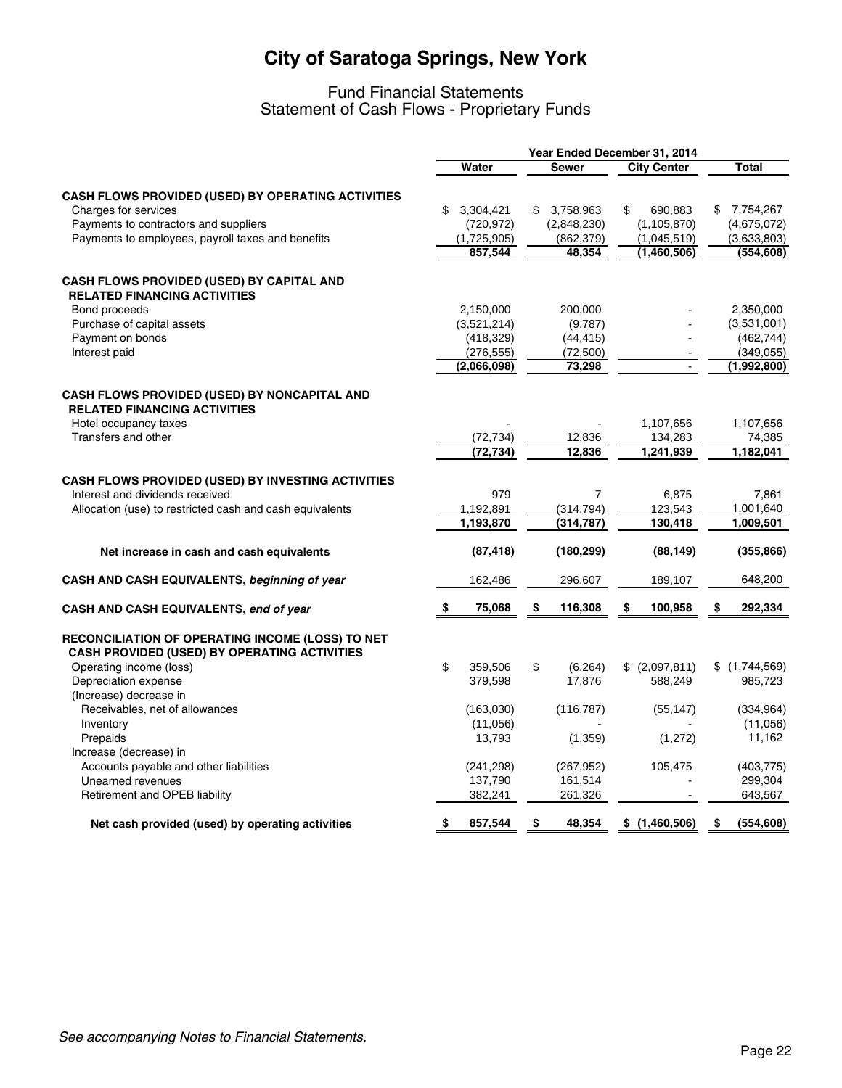#### **MARKET AND RISK FACTORS**

The financial condition of the City as well as the market for the Bonds could be affected by a variety of factors, some of which are beyond the City's control. There can be no assurance that adverse events in the State and in other jurisdictions in the country, including, for example, the seeking by a municipality or large taxable property owner of remedies pursuant to the Federal Bankruptcy Code or otherwise, will not occur which might affect the market price of and the market for the Bonds. If a significant default or other financial crisis should occur in the affairs of the State or another jurisdiction, or any of their respective agencies or political subdivisions thereby further impairing the acceptability of obligations issued by borrowers within the State, both the ability of the City to arrange for additional borrowings, and the market for and market value of outstanding debt obligations, including the Bonds, could be adversely affected.

The City is dependent in part on financial assistance from the State. However, if the State should experience difficulty in borrowing funds in anticipation of the receipt of State taxes and revenues in order to pay State aid to municipalities and school districts in the State, including the City, in this year or future years, the City may be affected by a delay, until sufficient taxes have been received by the State to make State aid payments to the City. While no delay in State aid is anticipated this fiscal year, in several recent years, the City has received delayed payments of State aid which resulted from the State's delay in adopting its budget and appropriating State aid to municipalities and school districts, and consequent delay in State borrowing to finance such appropriations. (See also "State Aid").

## **TAX EXEMPTION**

In the opinion of Walsh & Walsh, LLP, Saratoga Springs, New York, Bond Counsel, under existing law, interest on the Bonds is excluded from gross income for federal income tax purposes and is not an item of tax preference for purposes of the federal alternative minimum tax imposed on individuals and corporations, nor is such interest included in adjusted current earnings of certain corporations for purposes of the federal alternative minimum tax imposed on corporations.

The opinion described above is subject to the condition that the City comply with all requirements of the Internal Revenue Code of 1986, as amended (the "Code") that must be satisfied subsequent to the issuance of the Bonds in order that interest thereon be, or continue to be, excluded from gross income for federal income tax purposes. Included among these continuing requirements are certain restrictions on the investment and use of proceeds of the Bonds and certain requirements to rebate arbitrage earnings from the investment of proceeds of the Bonds to the federal government. Failure to comply with certain of such requirements may cause interest on the Bonds to be included in gross income for federal income tax purposes retroactive to their date of issuance, regardless of when such noncompliance occurs. The City will covenant in its arbitrage and use of proceeds certificate with respect to the Bonds to comply with certain procedures and guidelines designed to assure satisfaction of the continuing requirements of the Code.

Bond Counsel is further of the opinion that, under existing law, interest on the Bonds is exempt from personal income taxes of New York State and its political subdivisions, including The City of New York.

The Bonds are being designated by the City as "qualified tax-exempt obligations" pursuant to the provisions of Section 265 (b) (3) of the Code. The City will represent in its arbitrage and use of proceeds certificate that (1) the City does not reasonably anticipate that the amount of tax-exempt obligations (within the meaning of Section 265 (b) (3) (C) of the Code) to be issued by the City (and any subordinate entities) in calendar year 2016 will exceed \$10,000,000, and (2) the amount of "qualified taxexempt obligations" issued by the City (and any subordinate entities) during the current calendar year does not as of this date, and including this issue, exceed \$10,000,000.

Prospective owners of the Bonds should be aware that ownership of governmental obligations, such as the Bonds, may have collateral federal income tax consequences for certain taxpayers, including financial institutions, property and casualty insurance companies, S corporations, certain foreign corporations, individual recipients of Social Security or Railroad Retirement benefits, taxpayers who may be deemed to have incurred or continued indebtedness to purchase or carry the Bonds and, for taxable years beginning after December 31, 1995, taxpayers who are otherwise eligible for the earned income credit.

## PROSPECTIVE OWNERS OF THE BONDS SHOULD CONSULT THEIR TAX ADVISORS AS TO ANY POSSIBLE COLLATERAL TAX CONSEQUENCES RESULTING FROM THEIR OWNERSHIP OF THE BONDS. BOND COUNSEL EXPRESSES NO OPINION REGARDING ANY SUCH CONSEQUENCES.

Bond Counsel has not undertaken to advise in the future whether any events after the date of issuance of the Bonds may affect the tax status of interest on the Bonds or the tax consequences of the ownership of the Bonds. Legislation affecting municipal bonds currently is being considered by the United States Congress. There can be no assurance that legislation enacted or proposed after the date of issuance of the Bonds will not have an adverse effect on the tax-exempt status or market price of the Bonds.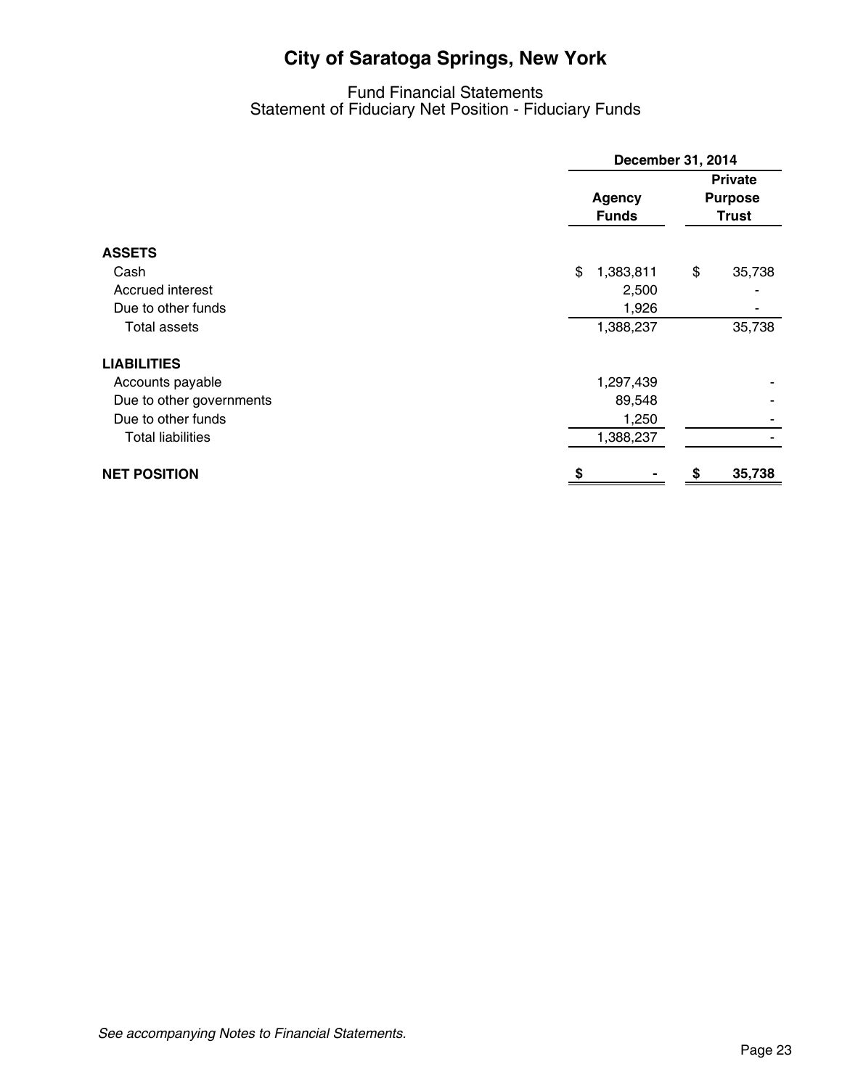Legal matters incident to the authorization, issuance and sale of the Bonds will be covered by the final approving opinion of Walsh & Walsh, LLP, Saratoga Springs, New York, Bond Counsel. Copies of such opinion will be available at the time of delivery of the Bonds. Such legal opinion will state that, under existing law, (1) the Bonds have been duly authorized and issued in accordance with the Constitution and statutes of the State of New York and constitute valid and legally binding general obligations of the City, for the payment of which the City has validly pledged its faith and credit, and all the taxable real property within the boundaries of the City is subject to the levy of ad valorem taxes to pay the Bonds and interest thereon, without limitation as to the rate or amount, subject to statutory limitations which may be imposed by Chapter 97 of the 2011 Laws of New York, and (2) interest on the Bonds is excluded from gross income for federal income tax purposes and is not an item of tax preference for purposes of the federal alternative minimum tax imposed on individuals and corporations, nor is such interest included in adjusted current earnings of certain corporations for purposes of the federal alternative minimum tax imposed on corporations; and subject to the condition that the City comply with all requirements of the Internal Revenue Code of 1986, as amended, that must be satisfied subsequent to the issuance of the Bonds in order that interest thereon be, or continue to be, excluded from gross income for federal income tax purposes. Such opinion shall also contain further statements to the effect that (a) the rights of the owners of the Bonds and the enforceability of the Bonds may be limited by bankruptcy, insolvency, reorganization, moratorium, fraudulent conveyance or other similar laws affecting creditors' rights generally enacted before or after the date of such opinion, and by equitable principles, whether considered at law or in equity, (b) the scope of its engagement as Bond Counsel in relation to the issuance of the Bonds has extended solely to rendering the opinions described herein, and such opinions are not intended and should not be construed to express or imply any conclusion that the amount of real property subject to taxation within the boundaries of the City, together with other legally available sources of revenue, if any, will be sufficient to enable the City to pay the principal of or interest on the Bonds as the same respectively become due and payable, and (c) it has not examined, reviewed or passed upon the accuracy, completeness or fairness of any factual information which may have been furnished to the purchaser of the Bonds by or on behalf of the City, and, accordingly, Bond Counsel expresses no opinion as to whether the City, in connection with the sale of the Bonds, has made any untrue statement of a material fact, or omitted to state a material fact necessary in order to make any statements made, in the light of the circumstances under which they were made, not misleading.

#### **LITIGATION**

The City is subject to a number of lawsuits in the ordinary conduct of its affairs. The City does not believe, however, that such suits, individually or in the aggregate, are likely to have a material adverse effect on the financial condition of the City.

#### **BOND RATING**

Standard & Poor's Credit Market Services has given the Bonds a rating of "AA+" with a stable outlook. A rating reflects only the view of the rating agency assigning such rating and an explanation of the significance of such rating may be obtained from such rating agency. Any desired explanation of the significance of such rating should be obtained from Standard & Poor's Credit Market Services, Public Finance Ratings, 55 Water Street, 38th Floor, New York, New York 10041, Phone: (212) 553- 0038, Fax: (212) 553-1390.

Generally, rating agencies base their ratings on the information and materials furnished to it and on investigations, studies and assumptions by the respective rating agency. There is no assurance that a particular rating will apply for any given period of time or that it will not be lowered or withdrawn entirely if, in the judgment of the agency originally establishing the rating, circumstances so warrant. Any downward revision or withdrawal of the rating of the Bonds may have an adverse effect on the market price of the Bonds.

#### **MUNICIPAL ADVISOR**

Fiscal Advisors & Marketing, Inc. (the "Municipal Advisor"), is a Municipal Advisor, registered with the Securities and Exchange Commission and the Municipal Securities Rulemaking Board. The Municipal Advisor serves as independent Municipal Advisor to the City on matters relating to debt management. The Municipal Advisor is a financial advisory and consulting organization and is not engaged in the business of underwriting, marketing, or trading municipal securities or any other negotiated instruments. The Municipal Advisor has provided advice as to the plan of financing and the structuring of the Bonds and has reviewed and commented on certain legal documents, including this Official Statement. The advice on the plan of financing and the structuring of the Bonds was based on materials provided by the City and other sources of information believed to be reliable. The Municipal Advisor has not audited, authenticated, or otherwise verified the information provided by the City or the information set forth in this Official Statement or any other information available to the City with respect to the appropriateness, accuracy, or completeness of disclosure of such information and no guarantee, warranty, or other representation is made by the Municipal Advisor respecting the accuracy and completeness of or any other matter related to such information and this Official Statement.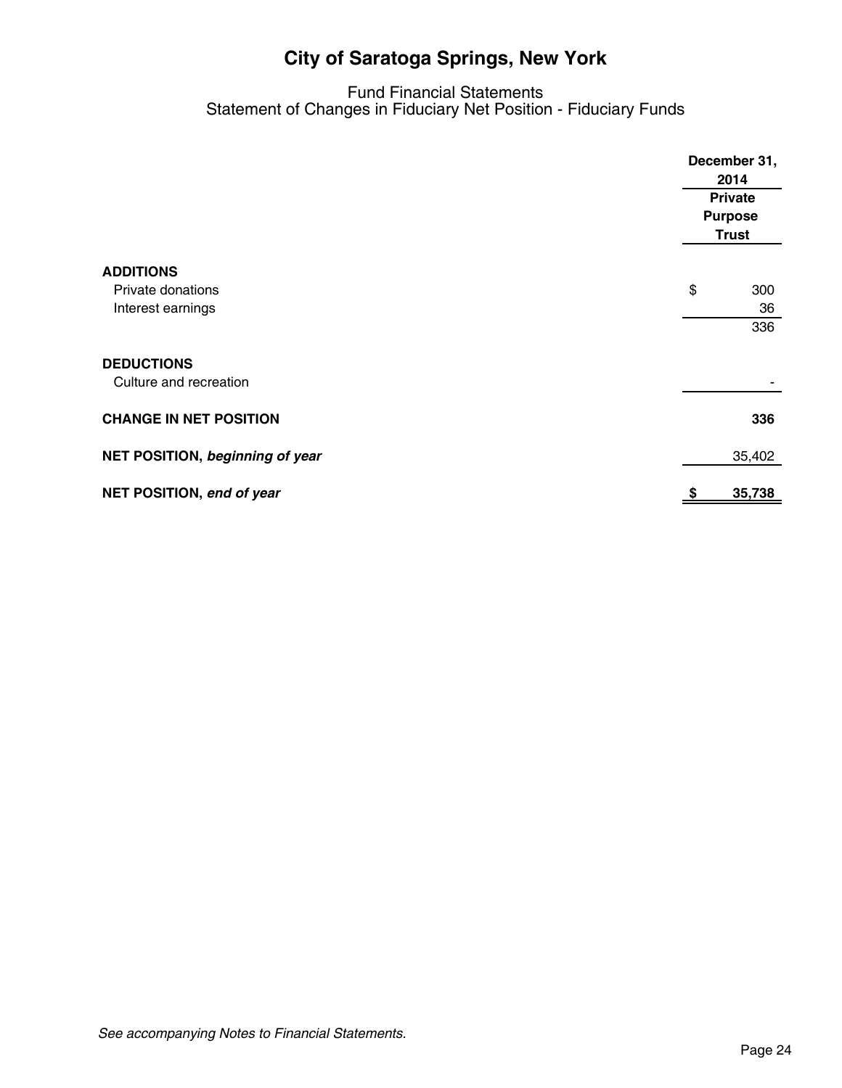#### **MISCELLANEOUS**

So far as any statements made in this Official Statement involve matters of opinion or estimates whether or not expressly stated, they are set forth as such and not as representations of fact, and no representation is made that any of the statements will be realized. Neither this Official Statement nor any statement that may have been made verbally or in writing is to be construed as a contract with the holders of the Bonds.

Statements in this Official Statement, and the documents included by specific reference, that are not historical facts are forward-looking statements, which are based on the City management's beliefs as well as assumptions made by, and information currently available to, the City's management and staff. Because the statements are based on expectations about future events and economic performance and are not statements of fact, actual results may differ materially from those projected. Important factors that could cause future results to differ include legislative and regulatory changes, changes in the economy, and other factors discussed in this and other documents that the City files with the repositories. When used in City documents or oral presentation, the words "anticipate", "estimate", "expect", "objective", "projection", "forecast", "goal", or similar words are intended to identify forward-looking statements.

Walsh & Walsh, LLP, Saratoga Springs, New York, Bond Counsel to the City, expresses no opinions as to the accuracy or completeness of information in any documents prepared by or on behalf of the City for use in connection with the offer and sale of the Bonds, including, but not limited to, this Official Statement.

References herein to the Constitution of the State and various State and federal laws are only brief outlines of certain provisions thereof and do not purport to summarize or describe all of such provisions.

Concurrently with the delivery of the Bonds, the City will furnish a certificate to the effect that as of the date of this Official Statement, this Official Statement did not contain any untrue statement of a material fact or omit to state a material fact necessary to make the statements herein, in the light of the circumstances under which they were made, not misleading, subject to limitation as to information in this Official Statement obtained from sources other than the City, as to which no representation can be made.

This Official Statement is submitted only in connection with the sale of the Bonds by the City and may not be reproduced or used in whole or in part for any other purpose.

The Municipal Advisor may place a copy of this Official Statement on its website at [www.fiscaladvisors.com.](http://www.fiscaladvisors.com/) Unless this Official Statement specifically indicates otherwise, no statement on its website is included by specific reference or constitutes a part of this Official Statement. The Municipal Advisor has prepared its website information for your convenience, but you should not make any decision in reliance upon that information. Typographical or other errors may have occurred in converting original source documents to digital format, and the Municipal Advisor assumes no liability or responsibility for errors or omissions on its website. Further, the Municipal Advisor disclaims any duty or obligation either to update or to maintain that information or any responsibility or liability for any damages caused by viruses in the electronic files on its website. The Municipal Advisor also assumes no liability or responsibility for any errors or omissions or for any updates to dated website information.

The City will act as Paying Agent for the Bonds.

The City's contact information is as follows: Ms. Michele D. Clark-Madigan, Commissioner of Finance, City Hall, Saratoga Springs, New York 12866, Phone: (518) 587-3550, ext. 2577, Telefax: (518) 580-0781, Email: michele.madigan@saratogasprings.org.

## **CITY of SARATOGA SPRINGS**

**MICHELE D. CLARK- MADIGAN Dated: June 8, 2016 Commissioner of Finance and Chief Fiscal Officer**